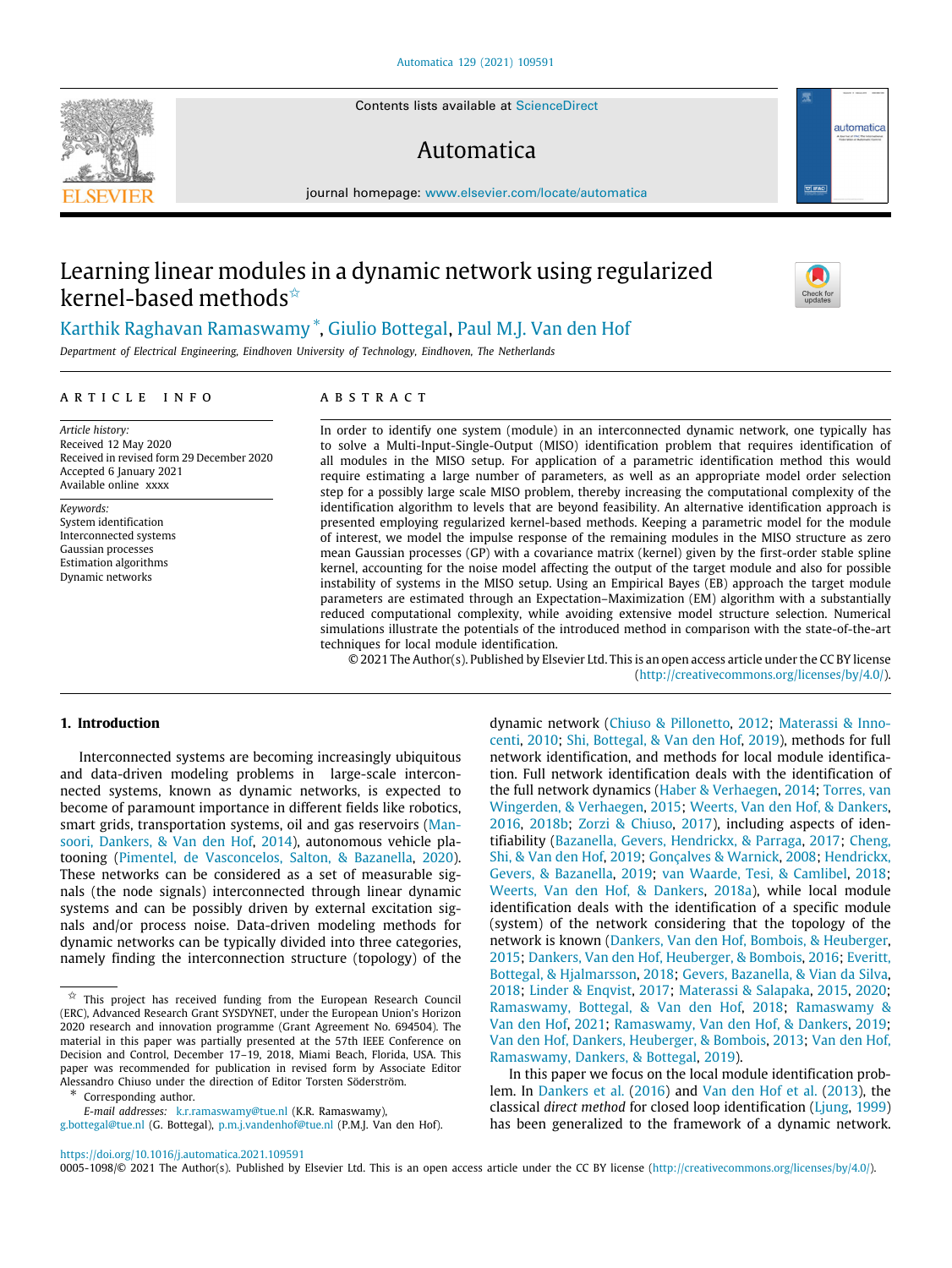Contents lists available at [ScienceDirect](http://www.elsevier.com/locate/automatica)

# Automatica

journal homepage: [www.elsevier.com/locate/automatica](http://www.elsevier.com/locate/automatica)

# Learning linear modules in a dynamic network using regularized kernel-based methods<sup>☆</sup>

[Karthik](#page-11-0) [Raghavan](#page-11-0) [Ramaswamy](#page-11-0) [∗](#page-0-1) , [Giulio](#page-11-1) [Bottegal](#page-11-1), [Paul](#page-11-2) [M.J.](#page-11-2) [Van den Hof](#page-11-2)

*Department of Electrical Engineering, Eindhoven University of Technology, Eindhoven, The Netherlands*

## a r t i c l e i n f o

*Article history:* Received 12 May 2020 Received in revised form 29 December 2020 Accepted 6 January 2021 Available online xxxx

*Keywords:* System identification Interconnected systems Gaussian processes Estimation algorithms Dynamic networks

# A B S T R A C T

In order to identify one system (module) in an interconnected dynamic network, one typically has to solve a Multi-Input-Single-Output (MISO) identification problem that requires identification of all modules in the MISO setup. For application of a parametric identification method this would require estimating a large number of parameters, as well as an appropriate model order selection step for a possibly large scale MISO problem, thereby increasing the computational complexity of the identification algorithm to levels that are beyond feasibility. An alternative identification approach is presented employing regularized kernel-based methods. Keeping a parametric model for the module of interest, we model the impulse response of the remaining modules in the MISO structure as zero mean Gaussian processes (GP) with a covariance matrix (kernel) given by the first-order stable spline kernel, accounting for the noise model affecting the output of the target module and also for possible instability of systems in the MISO setup. Using an Empirical Bayes (EB) approach the target module parameters are estimated through an Expectation–Maximization (EM) algorithm with a substantially reduced computational complexity, while avoiding extensive model structure selection. Numerical simulations illustrate the potentials of the introduced method in comparison with the state-of-the-art techniques for local module identification.

© 2021 The Author(s). Published by Elsevier Ltd. This is an open access article under the CC BY license [\(http://creativecommons.org/licenses/by/4.0/](http://creativecommons.org/licenses/by/4.0/)).

# **1. Introduction**

Interconnected systems are becoming increasingly ubiquitous and data-driven modeling problems in large-scale interconnected systems, known as dynamic networks, is expected to become of paramount importance in different fields like robotics, smart grids, transportation systems, oil and gas reservoirs [\(Man](#page-10-0)[soori, Dankers, & Van den Hof](#page-10-0), [2014\)](#page-10-0), autonomous vehicle platooning ([Pimentel, de Vasconcelos, Salton, & Bazanella](#page-11-3), [2020\)](#page-11-3). These networks can be considered as a set of measurable signals (the node signals) interconnected through linear dynamic systems and can be possibly driven by external excitation signals and/or process noise. Data-driven modeling methods for dynamic networks can be typically divided into three categories, namely finding the interconnection structure (topology) of the

<span id="page-0-1"></span>∗ Corresponding author.

*E-mail addresses:* [k.r.ramaswamy@tue.nl](mailto:k.r.ramaswamy@tue.nl) (K.R. Ramaswamy), [g.bottegal@tue.nl](mailto:g.bottegal@tue.nl) (G. Bottegal), [p.m.j.vandenhof@tue.nl](mailto:p.m.j.vandenhof@tue.nl) (P.M.J. Van den Hof). dynamic network ([Chiuso & Pillonetto,](#page-10-1) [2012](#page-10-1); [Materassi & Inno](#page-11-4)[centi,](#page-11-4) [2010](#page-11-4); [Shi, Bottegal, & Van den Hof,](#page-11-5) [2019\)](#page-11-5), methods for full network identification, and methods for local module identification. Full network identification deals with the identification of the full network dynamics ([Haber & Verhaegen,](#page-10-2) [2014](#page-10-2); [Torres, van](#page-11-6) [Wingerden, & Verhaegen,](#page-11-6) [2015](#page-11-6); [Weerts, Van den Hof, & Dankers,](#page-11-7) [2016,](#page-11-7) [2018b;](#page-11-8) [Zorzi & Chiuso,](#page-11-9) [2017\)](#page-11-9), including aspects of identifiability ([Bazanella, Gevers, Hendrickx, & Parraga,](#page-10-3) [2017;](#page-10-3) [Cheng,](#page-10-4) [Shi, & Van den Hof,](#page-10-4) [2019](#page-10-4); [Gonçalves & Warnick,](#page-10-5) [2008](#page-10-5); [Hendrickx,](#page-10-6) [Gevers, & Bazanella,](#page-10-6) [2019](#page-10-6); [van Waarde, Tesi, & Camlibel](#page-11-10), [2018;](#page-11-10) [Weerts, Van den Hof, & Dankers,](#page-11-11) [2018a\)](#page-11-11), while local module identification deals with the identification of a specific module (system) of the network considering that the topology of the network is known ([Dankers, Van den Hof, Bombois, & Heuberger,](#page-10-7) [2015;](#page-10-7) [Dankers, Van den Hof, Heuberger, & Bombois](#page-10-8), [2016](#page-10-8); [Everitt,](#page-10-9) [Bottegal, & Hjalmarsson](#page-10-9), [2018;](#page-10-9) [Gevers, Bazanella, & Vian da Silva,](#page-10-10) [2018;](#page-10-10) [Linder & Enqvist](#page-10-11), [2017](#page-10-11); [Materassi & Salapaka,](#page-11-12) [2015,](#page-11-12) [2020;](#page-11-13) [Ramaswamy, Bottegal, & Van den Hof](#page-11-14), [2018](#page-11-14); [Ramaswamy &](#page-11-15) [Van den Hof,](#page-11-15) [2021;](#page-11-15) [Ramaswamy, Van den Hof, & Dankers,](#page-11-16) [2019;](#page-11-16) [Van den Hof, Dankers, Heuberger, & Bombois,](#page-11-17) [2013](#page-11-17); [Van den Hof,](#page-11-18) [Ramaswamy, Dankers, & Bottegal](#page-11-18), [2019\)](#page-11-18).

In this paper we focus on the local module identification problem. In [Dankers et al.](#page-10-8) [\(2016](#page-10-8)) and [Van den Hof et al.](#page-11-17) ([2013](#page-11-17)), the classical *direct method* for closed loop identification ([Ljung](#page-10-12), [1999\)](#page-10-12) has been generalized to the framework of a dynamic network.

0005-1098/© 2021 The Author(s). Published by Elsevier Ltd. This is an open access article under the CC BY license [\(http://creativecommons.org/licenses/by/4.0/](http://creativecommons.org/licenses/by/4.0/)).







<span id="page-0-0"></span> $\overrightarrow{x}$  This project has received funding from the European Research Council (ERC), Advanced Research Grant SYSDYNET, under the European Union's Horizon 2020 research and innovation programme (Grant Agreement No. 694504). The material in this paper was partially presented at the 57th IEEE Conference on Decision and Control, December 17–19, 2018, Miami Beach, Florida, USA. This paper was recommended for publication in revised form by Associate Editor Alessandro Chiuso under the direction of Editor Torsten Söderström.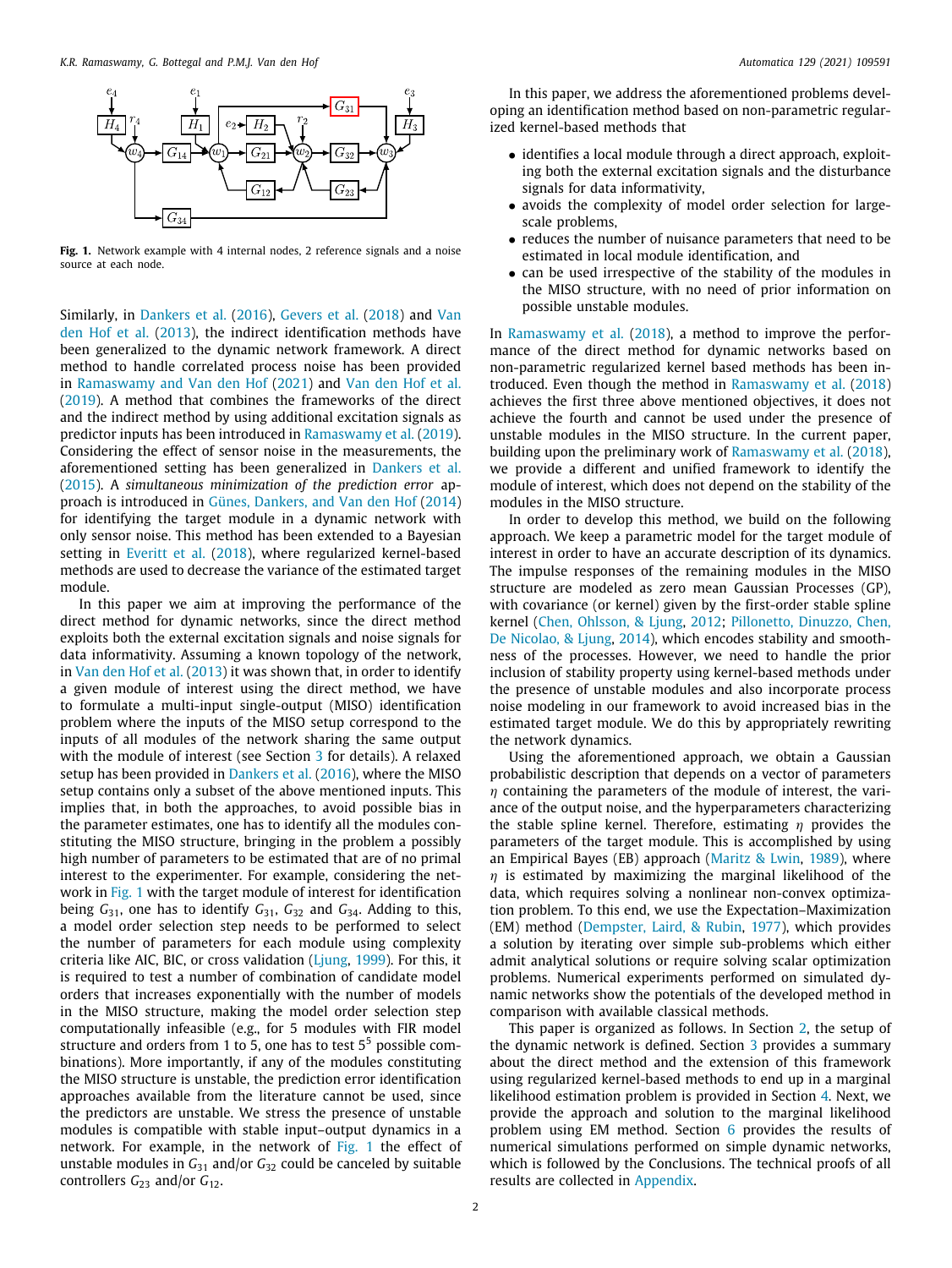

<span id="page-1-0"></span>Fig. 1. Network example with 4 internal nodes, 2 reference signals and a noise source at each node.

Similarly, in [Dankers et al.](#page-10-8) [\(2016](#page-10-8)), [Gevers et al.](#page-10-10) ([2018](#page-10-10)) and [Van](#page-11-17) [den Hof et al.](#page-11-17) [\(2013](#page-11-17)), the indirect identification methods have been generalized to the dynamic network framework. A direct method to handle correlated process noise has been provided in [Ramaswamy and Van den Hof](#page-11-15) ([2021\)](#page-11-15) and [Van den Hof et al.](#page-11-18) ([2019\)](#page-11-18). A method that combines the frameworks of the direct and the indirect method by using additional excitation signals as predictor inputs has been introduced in [Ramaswamy et al.](#page-11-16) [\(2019\)](#page-11-16). Considering the effect of sensor noise in the measurements, the aforementioned setting has been generalized in [Dankers et al.](#page-10-7) ([2015\)](#page-10-7). A *simultaneous minimization of the prediction error* approach is introduced in [Günes, Dankers, and Van den Hof](#page-10-13) [\(2014\)](#page-10-13) for identifying the target module in a dynamic network with only sensor noise. This method has been extended to a Bayesian setting in [Everitt et al.](#page-10-9) ([2018\)](#page-10-9), where regularized kernel-based methods are used to decrease the variance of the estimated target module.

In this paper we aim at improving the performance of the direct method for dynamic networks, since the direct method exploits both the external excitation signals and noise signals for data informativity. Assuming a known topology of the network, in [Van den Hof et al.](#page-11-17) ([2013](#page-11-17)) it was shown that, in order to identify a given module of interest using the direct method, we have to formulate a multi-input single-output (MISO) identification problem where the inputs of the MISO setup correspond to the inputs of all modules of the network sharing the same output with the module of interest (see Section [3](#page-2-0) for details). A relaxed setup has been provided in [Dankers et al.](#page-10-8) [\(2016\)](#page-10-8), where the MISO setup contains only a subset of the above mentioned inputs. This implies that, in both the approaches, to avoid possible bias in the parameter estimates, one has to identify all the modules constituting the MISO structure, bringing in the problem a possibly high number of parameters to be estimated that are of no primal interest to the experimenter. For example, considering the network in [Fig.](#page-1-0) [1](#page-1-0) with the target module of interest for identification being *G*31, one has to identify *G*31, *G*<sup>32</sup> and *G*34. Adding to this, a model order selection step needs to be performed to select the number of parameters for each module using complexity criteria like AIC, BIC, or cross validation [\(Ljung,](#page-10-12) [1999](#page-10-12)). For this, it is required to test a number of combination of candidate model orders that increases exponentially with the number of models in the MISO structure, making the model order selection step computationally infeasible (e.g., for 5 modules with FIR model structure and orders from 1 to 5, one has to test 5<sup>5</sup> possible combinations). More importantly, if any of the modules constituting the MISO structure is unstable, the prediction error identification approaches available from the literature cannot be used, since the predictors are unstable. We stress the presence of unstable modules is compatible with stable input–output dynamics in a network. For example, in the network of [Fig.](#page-1-0) [1](#page-1-0) the effect of unstable modules in *G*<sup>31</sup> and/or *G*<sup>32</sup> could be canceled by suitable controllers *G*<sub>23</sub> and/or *G*<sub>12</sub>.

In this paper, we address the aforementioned problems developing an identification method based on non-parametric regularized kernel-based methods that

- identifies a local module through a direct approach, exploiting both the external excitation signals and the disturbance signals for data informativity,
- avoids the complexity of model order selection for largescale problems,
- reduces the number of nuisance parameters that need to be estimated in local module identification, and
- can be used irrespective of the stability of the modules in the MISO structure, with no need of prior information on possible unstable modules.

In [Ramaswamy et al.](#page-11-14) [\(2018\)](#page-11-14), a method to improve the performance of the direct method for dynamic networks based on non-parametric regularized kernel based methods has been introduced. Even though the method in [Ramaswamy et al.](#page-11-14) [\(2018\)](#page-11-14) achieves the first three above mentioned objectives, it does not achieve the fourth and cannot be used under the presence of unstable modules in the MISO structure. In the current paper, building upon the preliminary work of [Ramaswamy et al.](#page-11-14) [\(2018\)](#page-11-14), we provide a different and unified framework to identify the module of interest, which does not depend on the stability of the modules in the MISO structure.

In order to develop this method, we build on the following approach. We keep a parametric model for the target module of interest in order to have an accurate description of its dynamics. The impulse responses of the remaining modules in the MISO structure are modeled as zero mean Gaussian Processes (GP), with covariance (or kernel) given by the first-order stable spline kernel [\(Chen, Ohlsson, & Ljung](#page-10-14), [2012;](#page-10-14) [Pillonetto, Dinuzzo, Chen,](#page-11-19) [De Nicolao, & Ljung,](#page-11-19) [2014\)](#page-11-19), which encodes stability and smoothness of the processes. However, we need to handle the prior inclusion of stability property using kernel-based methods under the presence of unstable modules and also incorporate process noise modeling in our framework to avoid increased bias in the estimated target module. We do this by appropriately rewriting the network dynamics.

Using the aforementioned approach, we obtain a Gaussian probabilistic description that depends on a vector of parameters  $\eta$  containing the parameters of the module of interest, the variance of the output noise, and the hyperparameters characterizing the stable spline kernel. Therefore, estimating  $\eta$  provides the parameters of the target module. This is accomplished by using an Empirical Bayes (EB) approach ([Maritz & Lwin,](#page-11-20) [1989](#page-11-20)), where  $\eta$  is estimated by maximizing the marginal likelihood of the data, which requires solving a nonlinear non-convex optimization problem. To this end, we use the Expectation–Maximization (EM) method [\(Dempster, Laird, & Rubin](#page-10-15), [1977\)](#page-10-15), which provides a solution by iterating over simple sub-problems which either admit analytical solutions or require solving scalar optimization problems. Numerical experiments performed on simulated dynamic networks show the potentials of the developed method in comparison with available classical methods.

This paper is organized as follows. In Section [2,](#page-2-1) the setup of the dynamic network is defined. Section [3](#page-2-0) provides a summary about the direct method and the extension of this framework using regularized kernel-based methods to end up in a marginal likelihood estimation problem is provided in Section [4.](#page-2-2) Next, we provide the approach and solution to the marginal likelihood problem using EM method. Section [6](#page-6-0) provides the results of numerical simulations performed on simple dynamic networks, which is followed by the Conclusions. The technical proofs of all results are collected in [Appendix](#page-8-0).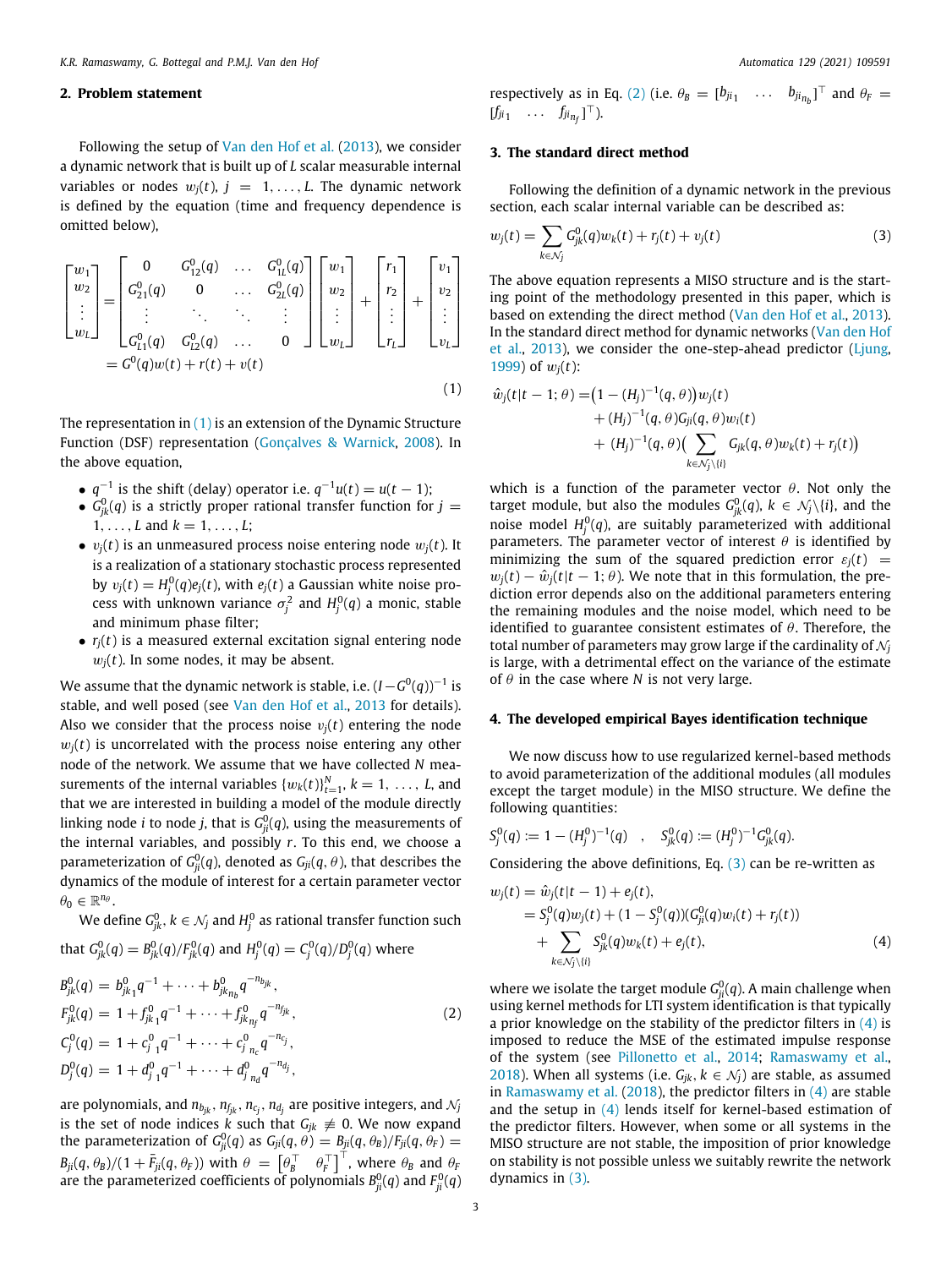# **2. Problem statement**

<span id="page-2-1"></span>Following the setup of [Van den Hof et al.](#page-11-17) ([2013](#page-11-17)), we consider a dynamic network that is built up of *L* scalar measurable internal variables or nodes  $w_j(t)$ ,  $j = 1, ..., L$ . The dynamic network is defined by the equation (time and frequency dependence is omitted below),

$$
\begin{bmatrix} w_1 \\ w_2 \\ \vdots \\ w_L \end{bmatrix} = \begin{bmatrix} 0 & G_{12}^0(q) & \dots & G_{1L}^0(q) \\ G_{21}^0(q) & 0 & \dots & G_{2L}^0(q) \\ \vdots & \vdots & \ddots & \vdots \\ G_{L1}^0(q) & G_{L2}^0(q) & \dots & 0 \end{bmatrix} \begin{bmatrix} w_1 \\ w_2 \\ \vdots \\ w_L \end{bmatrix} + \begin{bmatrix} r_1 \\ r_2 \\ \vdots \\ r_L \end{bmatrix} + \begin{bmatrix} v_1 \\ v_2 \\ \vdots \\ v_L \end{bmatrix}
$$

$$
= G^0(q)w(t) + r(t) + v(t)
$$
(1)

The representation in  $(1)$  $(1)$  is an extension of the Dynamic Structure Function (DSF) representation ([Gonçalves & Warnick](#page-10-5), [2008](#page-10-5)). In the above equation,

- $q^{-1}$  is the shift (delay) operator i.e.  $q^{-1}u(t) = u(t-1)$ ;
- $\bullet$   $G^0_{jk}(q)$  is a strictly proper rational transfer function for  $j=$  $1, \ldots, L$  and  $k = 1, \ldots, L$ ;
- $v_i(t)$  is an unmeasured process noise entering node  $w_i(t)$ . It is a realization of a stationary stochastic process represented by  $v_j(t) = H_j^0(q)e_j(t)$ , with  $e_j(t)$  a Gaussian white noise process with unknown variance  $\sigma_j^2$  and  $H_j^0(q)$  a monic, stable and minimum phase filter;
- $\bullet$   $r_i(t)$  is a measured external excitation signal entering node  $w_i(t)$ . In some nodes, it may be absent.

We assume that the dynamic network is stable, i.e.  $(I - G^0(q))^{-1}$  is stable, and well posed (see [Van den Hof et al.](#page-11-17), [2013](#page-11-17) for details). Also we consider that the process noise  $v_i(t)$  entering the node  $w<sub>i</sub>(t)$  is uncorrelated with the process noise entering any other node of the network. We assume that we have collected *N* measurements of the internal variables  $\{w_k(t)\}_{t=1}^N$ ,  $k = 1, \ldots, L$ , and that we are interested in building a model of the module directly linking node  $i$  to node  $j$ , that is  $G^0_{ji}(q)$ , using the measurements of the internal variables, and possibly *r*. To this end, we choose a parameterization of  $G^0_{ji}(q)$ , denoted as  $G_{ji}(q,\theta)$ , that describes the dynamics of the module of interest for a certain parameter vector  $\theta_0 \in \mathbb{R}^{n_\theta}$ .

We define  $G_{jk}^0,$   $k\in\mathcal{N}_j$  and  $H_j^0$  as rational transfer function such

that 
$$
G_{jk}^0(q) = B_{jk}^0(q)/F_{jk}^0(q)
$$
 and  $H_j^0(q) = C_j^0(q)/D_j^0(q)$  where  
\n $B_{jk}^0(q) = b_{jk_1}^0 q^{-1} + \cdots + b_{jk_{n_b}}^0 q^{-n_{j_k}}$ ,  
\n $F_{jk}^0(q) = 1 + f_{jk_1}^0 q^{-1} + \cdots + f_{jk_{n_f}}^0 q^{-n_{j_k}}$ ,  
\n $C_j^0(q) = 1 + C_j^0 q^{-1} + \cdots + C_j^0 {}_{n_c} q^{-n_{c_j}}$ ,  
\n $D_j^0(q) = 1 + d_{j_1}^0 q^{-1} + \cdots + d_{j_{n_d}}^0 q^{-n_{d_j}}$ , (2)

are polynomials, and  $n_{b_{jk}}, n_{f_{jk}}, n_{c_j}, n_{d_j}$  are positive integers, and  $\mathcal{N}_j$ is the set of node indices *k* such that  $G_{jk} \neq 0$ . We now expand the parameterization of  $G_{ji}^0(q)$  as  $G_{ji}(q,\theta)=B_{ji}(q,\theta_B)/F_{ji}(q,\theta_F)=0$  $B_{ji}(q, \theta_B)/(1 + \bar{F}_{ji}(q, \theta_F))$  with  $\theta = \begin{bmatrix} \theta_B^\top & \theta_F^\top \end{bmatrix}^\top$ , where  $\theta_B$  and  $\theta_F$ are the parameterized coefficients of polynomials  $B_{ji}^0(q)$  and  $F_{ji}^0(q)$  respectively as in Eq. ([2\)](#page-2-4) (i.e.  $\theta_B = [b_{ji_1} \dots b_{ji_{n_b}}]^\top$  and  $\theta_F =$  $[f_{ji1} \cdots \cdots \ f_{ji_{n_f}}]^\top$ ).

# **3. The standard direct method**

<span id="page-2-0"></span>Following the definition of a dynamic network in the previous section, each scalar internal variable can be described as:

<span id="page-2-5"></span>
$$
w_j(t) = \sum_{k \in \mathcal{N}_j} G_{jk}^0(q) w_k(t) + r_j(t) + v_j(t)
$$
\n(3)

The above equation represents a MISO structure and is the starting point of the methodology presented in this paper, which is based on extending the direct method ([Van den Hof et al.,](#page-11-17) [2013\)](#page-11-17). In the standard direct method for dynamic networks ([Van den Hof](#page-11-17) [et al.,](#page-11-17) [2013\)](#page-11-17), we consider the one-step-ahead predictor ([Ljung,](#page-10-12) [1999\)](#page-10-12) of w*j*(*t*):

<span id="page-2-3"></span>
$$
\hat{w}_j(t|t-1; \theta) = (1 - (H_j)^{-1}(q, \theta))w_j(t) \n+ (H_j)^{-1}(q, \theta)G_{ji}(q, \theta)w_i(t) \n+ (H_j)^{-1}(q, \theta) \Big( \sum_{k \in \mathcal{N}_j \setminus \{i\}} G_{jk}(q, \theta)w_k(t) + r_j(t) \Big)
$$

which is a function of the parameter vector  $\theta$ . Not only the target module, but also the modules  $G_{jk}^0(q)$ ,  $k \in \mathcal{N}_j\backslash\{i\}$ , and the noise model  $H_j^0(q)$ , are suitably parameterized with additional parameters. The parameter vector of interest  $\theta$  is identified by minimizing the sum of the squared prediction error  $\varepsilon_i(t)$  =  $w_i(t) - \hat{w}_i(t|t-1; \theta)$ . We note that in this formulation, the prediction error depends also on the additional parameters entering the remaining modules and the noise model, which need to be identified to guarantee consistent estimates of  $\theta$ . Therefore, the total number of parameters may grow large if the cardinality of  $\mathcal{N}_i$ is large, with a detrimental effect on the variance of the estimate of  $\theta$  in the case where *N* is not very large.

# **4. The developed empirical Bayes identification technique**

<span id="page-2-2"></span>We now discuss how to use regularized kernel-based methods to avoid parameterization of the additional modules (all modules except the target module) in the MISO structure. We define the following quantities:

$$
S_j^0(q) := 1 - (H_j^0)^{-1}(q) \quad , \quad S_{jk}^0(q) := (H_j^0)^{-1} G_{jk}^0(q).
$$

Considering the above definitions, Eq.  $(3)$  $(3)$  $(3)$  can be re-written as

<span id="page-2-6"></span>
$$
w_j(t) = \hat{w}_j(t|t-1) + e_j(t),
$$
  
=  $S_j^0(q)w_j(t) + (1 - S_j^0(q))(G_{ji}^0(q)w_i(t) + r_j(t))$   
+  $\sum_{k \in \mathcal{N}_j \setminus \{i\}} S_{jk}^0(q)w_k(t) + e_j(t),$  (4)

<span id="page-2-7"></span><span id="page-2-4"></span>where we isolate the target module  $G_{ji}^0(q)$ . A main challenge when using kernel methods for LTI system identification is that typically a prior knowledge on the stability of the predictor filters in  $(4)$  is imposed to reduce the MSE of the estimated impulse response of the system (see [Pillonetto et al.,](#page-11-19) [2014;](#page-11-19) [Ramaswamy et al.,](#page-11-14) [2018\)](#page-11-14). When all systems (i.e.  $G_{jk}$ ,  $k \in \mathcal{N}_j$ ) are stable, as assumed in [Ramaswamy et al.](#page-11-14) [\(2018\)](#page-11-14), the predictor filters in  $(4)$  $(4)$  are stable and the setup in ([4](#page-2-6)) lends itself for kernel-based estimation of the predictor filters. However, when some or all systems in the MISO structure are not stable, the imposition of prior knowledge on stability is not possible unless we suitably rewrite the network dynamics in [\(3](#page-2-5)).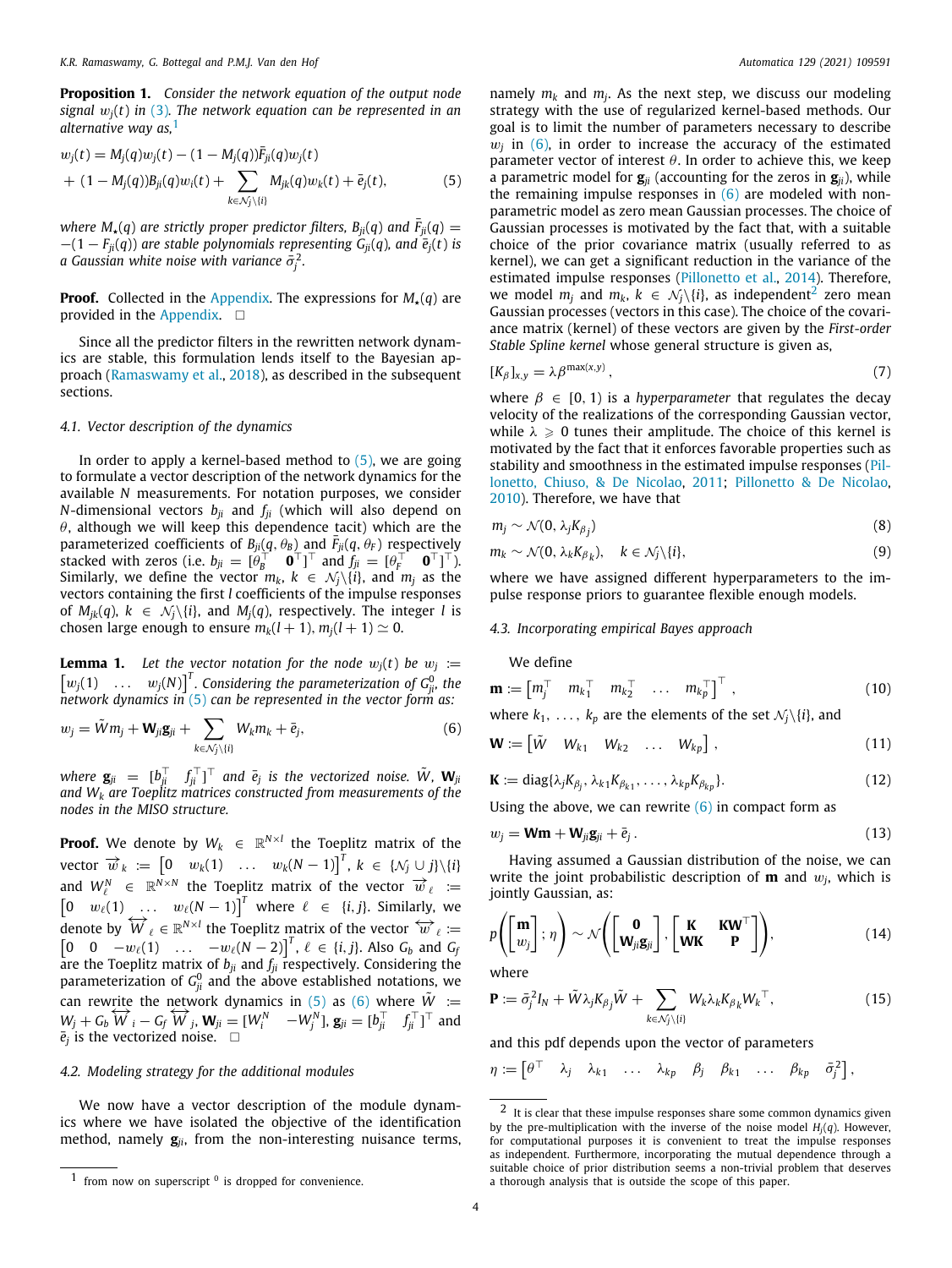**Proposition 1.** *Consider the network equation of the output node signal* w*j*(*t*) *in* ([3](#page-2-5))*. The network equation can be represented in an alternative way as,*[1](#page-3-0)

<span id="page-3-0"></span>
$$
w_j(t) = M_j(q)w_j(t) - (1 - M_j(q))\bar{F}_{ji}(q)w_j(t) + (1 - M_j(q))B_{ji}(q)w_i(t) + \sum_{k \in \mathcal{N}_j \setminus \{i\}} M_{jk}(q)w_k(t) + \bar{e}_j(t),
$$
 (5)

*where*  $M_{\star}(q)$  *are strictly proper predictor filters,*  $B_{ii}(q)$  *and*  $F_{ii}(q)$  =  $-(1 - F_{ii}(q))$  are stable polynomials representing  $G_{ii}(q)$ , and  $\bar{e}_i(t)$  is a Gaussian white noise with variance  $\bar{\sigma}^2_j$ .

**Proof.** Collected in the [Appendix.](#page-8-0) The expressions for  $M_{\star}(q)$  are provided in the [Appendix.](#page-8-0)  $\square$ 

Since all the predictor filters in the rewritten network dynamics are stable, this formulation lends itself to the Bayesian approach [\(Ramaswamy et al.](#page-11-14), [2018\)](#page-11-14), as described in the subsequent sections.

## *4.1. Vector description of the dynamics*

In order to apply a kernel-based method to  $(5)$  $(5)$ , we are going to formulate a vector description of the network dynamics for the available *N* measurements. For notation purposes, we consider *N*-dimensional vectors  $b_{ii}$  and  $f_{ii}$  (which will also depend on  $\theta$ , although we will keep this dependence tacit) which are the parameterized coefficients of  $B_{ji}(q, \theta_B)$  and  $\bar{F}_{ji}(q, \theta_F)$  respectively stacked with zeros (i.e.  $b_{ji} = [\hat{\theta}_B^\top \quad \mathbf{0}^\top]^\top$  and  $f_{ji} = [\theta_F^\top \quad \mathbf{0}^\top]^\top$ ). Similarly, we define the vector  $m_k$ ,  $k \in \mathcal{N}_i \setminus \{i\}$ , and  $m_i$  as the vectors containing the first *l* coefficients of the impulse responses of  $M_{jk}(q)$ ,  $k \in \mathcal{N}_j \setminus \{i\}$ , and  $M_j(q)$ , respectively. The integer *l* is chosen large enough to ensure  $m_k(l + 1)$ ,  $m_i(l + 1) \simeq 0$ .

**Lemma 1.** Let the vector notation for the node  $w_j(t)$  be  $w_j :=$  $\begin{bmatrix} w_j(1) & \dots & w_j(N) \end{bmatrix}^T$ . Considering the parameterization of  $G_{ji}^0$ , the *network dynamics in* [\(5](#page-3-1)) *can be represented in the vector form as:*

$$
w_j = \tilde{W}m_j + \mathbf{W}_{ji}\mathbf{g}_{ji} + \sum_{k \in \mathcal{N}_j \setminus \{i\}} W_k m_k + \bar{e}_j,
$$
\n(6)

 $z^j$  where  $\mathbf{g}_{ji}$   $=$   $[b_{ji}^\top$   $f_{ji}^\top]^\top$  and  $\bar{e}_j$  is the vectorized noise.  $\tilde{W}$ ,  $\mathbf{W}_{ji}$ *and W<sup>k</sup> are Toeplitz matrices constructed from measurements of the nodes in the MISO structure.*

**Proof.** We denote by  $W_k$   $\in$   $\mathbb{R}^{N \times l}$  the Toeplitz matrix of the  $\text{vector } \overrightarrow{w}_k := \begin{bmatrix} 0 & w_k(1) & \dots & w_k(N-1) \end{bmatrix}^T, k \in \{\mathcal{N}_j \cup j\} \setminus \{i\}$ and  $W_{\ell}^{N} \in \mathbb{R}^{N \times N}$  the Toeplitz matrix of the vector  $\vec{w}_{\ell} :=$  $\begin{bmatrix} 0 & w_{\ell}(1) & \ldots & w_{\ell}(N-1) \end{bmatrix}^T$  where  $\ell \in \{i, j\}$ . Similarly, we denote by  $\overline{W}_\ell \in \mathbb{R}^{N \times l}$  the Toeplitz matrix of the vector  $\overline{W}_\ell :=$  $\begin{bmatrix} 0 & 0 & -w_{\ell}(1) & \dots & -w_{\ell}(N-2) \end{bmatrix}^T$ ,  $\ell \in \{i, j\}$ . Also  $G_b$  and  $G_f$ are the Toeplitz matrix of  $b_{ji}$  and  $f_{ji}$  respectively. Considering the parameterization of  $G_{ji}^0$  and the above established notations, we can rewrite the network dynamics in [\(5\)](#page-3-1) as [\(6](#page-3-2)) where  $\tilde{W}$  :=  $W_j + G_b W_i - G_f W_j$ ,  $W_{ji} = [W_i^N - W_j^N]$ ,  $\mathbf{g}_{ji} = [b_{ji}^\top f_{ji}^\top]^\top$  and  $\overline{e}_j$  is the vectorized noise.  $\Box$ 

## *4.2. Modeling strategy for the additional modules*

We now have a vector description of the module dynamics where we have isolated the objective of the identification method, namely **g***ji*, from the non-interesting nuisance terms,

<span id="page-3-1"></span>namely *m<sup>k</sup>* and *m<sup>j</sup>* . As the next step, we discuss our modeling strategy with the use of regularized kernel-based methods. Our goal is to limit the number of parameters necessary to describe  $w_j$  in  $(6)$  $(6)$ , in order to increase the accuracy of the estimated parameter vector of interest  $\theta$ . In order to achieve this, we keep a parametric model for  $\mathbf{g}_{ii}$  (accounting for the zeros in  $\mathbf{g}_{ii}$ ), while the remaining impulse responses in  $(6)$  $(6)$  $(6)$  are modeled with nonparametric model as zero mean Gaussian processes. The choice of Gaussian processes is motivated by the fact that, with a suitable choice of the prior covariance matrix (usually referred to as kernel), we can get a significant reduction in the variance of the estimated impulse responses [\(Pillonetto et al.,](#page-11-19) [2014](#page-11-19)). Therefore, we model  $m_j$  and  $m_k$ ,  $k \in \mathcal{N}_j \setminus \{i\}$ , as independent<sup>[2](#page-3-3)</sup> zero mean Gaussian processes (vectors in this case). The choice of the covariance matrix (kernel) of these vectors are given by the *First-order Stable Spline kernel* whose general structure is given as,

<span id="page-3-3"></span>
$$
[K_{\beta}]_{x,y} = \lambda \beta^{\max(x,y)}, \qquad (7)
$$

where  $\beta \in [0, 1)$  is a *hyperparameter* that regulates the decay velocity of the realizations of the corresponding Gaussian vector, while  $\lambda \geq 0$  tunes their amplitude. The choice of this kernel is motivated by the fact that it enforces favorable properties such as stability and smoothness in the estimated impulse responses ([Pil](#page-11-21)[lonetto, Chiuso, & De Nicolao,](#page-11-21) [2011;](#page-11-21) [Pillonetto & De Nicolao,](#page-11-22) [2010\)](#page-11-22). Therefore, we have that

$$
m_j \sim \mathcal{N}(0, \lambda_j K_{\beta_j}) \tag{8}
$$

$$
m_k \sim \mathcal{N}(0, \lambda_k K_{\beta_k}), \quad k \in \mathcal{N}_j \backslash \{i\},\tag{9}
$$

where we have assigned different hyperparameters to the impulse response priors to guarantee flexible enough models.

# *4.3. Incorporating empirical Bayes approach*

We define

$$
\mathbf{m} := \begin{bmatrix} m_j^\top & m_{k_1}^\top & m_{k_2}^\top & \dots & m_{k_p}^\top \end{bmatrix}^\top , \qquad (10)
$$

<span id="page-3-2"></span>where  $k_1, \ldots, k_p$  are the elements of the set  $\mathcal{N}_j\backslash\{i\}$ , and

$$
\mathbf{W} := \begin{bmatrix} \tilde{W} & W_{k1} & W_{k2} & \dots & W_{kp} \end{bmatrix}, \tag{11}
$$

$$
\mathbf{K} := \text{diag}\{\lambda_j K_{\beta_j}, \lambda_{k1} K_{\beta_{k1}}, \dots, \lambda_{kp} K_{\beta_{kp}}\}.
$$
 (12)

Using the above, we can rewrite  $(6)$  $(6)$  in compact form as

$$
w_j = \mathbf{Wm} + \mathbf{W}_{ji}\mathbf{g}_{ji} + \bar{e}_j. \tag{13}
$$

Having assumed a Gaussian distribution of the noise, we can write the joint probabilistic description of **m** and  $w_j$ , which is jointly Gaussian, as:

$$
p\left(\begin{bmatrix} \mathbf{m} \\ w_j \end{bmatrix}; \eta\right) \sim \mathcal{N}\left(\begin{bmatrix} \mathbf{0} \\ \mathbf{W}_{ji}\mathbf{g}_{ji} \end{bmatrix}, \begin{bmatrix} \mathbf{K} & \mathbf{K}\mathbf{W}^\top \\ \mathbf{W}\mathbf{K} & \mathbf{P} \end{bmatrix}\right),\tag{14}
$$

where

$$
\mathbf{P} := \bar{\sigma}_j^2 I_N + \tilde{W} \lambda_j K_{\beta_j} \tilde{W} + \sum_{k \in \mathcal{N}_j \setminus \{i\}} W_k \lambda_k K_{\beta_k} W_k^{\top}, \tag{15}
$$

and this pdf depends upon the vector of parameters

$$
\eta := \begin{bmatrix} \theta^{\top} & \lambda_j & \lambda_{k1} & \dots & \lambda_{kp} & \beta_j & \beta_{k1} & \dots & \beta_{kp} & \bar{\sigma}_j^2 \end{bmatrix},
$$

 $1$  from now on superscript  $0$  is dropped for convenience.

 $2$  It is clear that these impulse responses share some common dynamics given by the pre-multiplication with the inverse of the noise model  $H_i(q)$ . However, for computational purposes it is convenient to treat the impulse responses as independent. Furthermore, incorporating the mutual dependence through a suitable choice of prior distribution seems a non-trivial problem that deserves a thorough analysis that is outside the scope of this paper.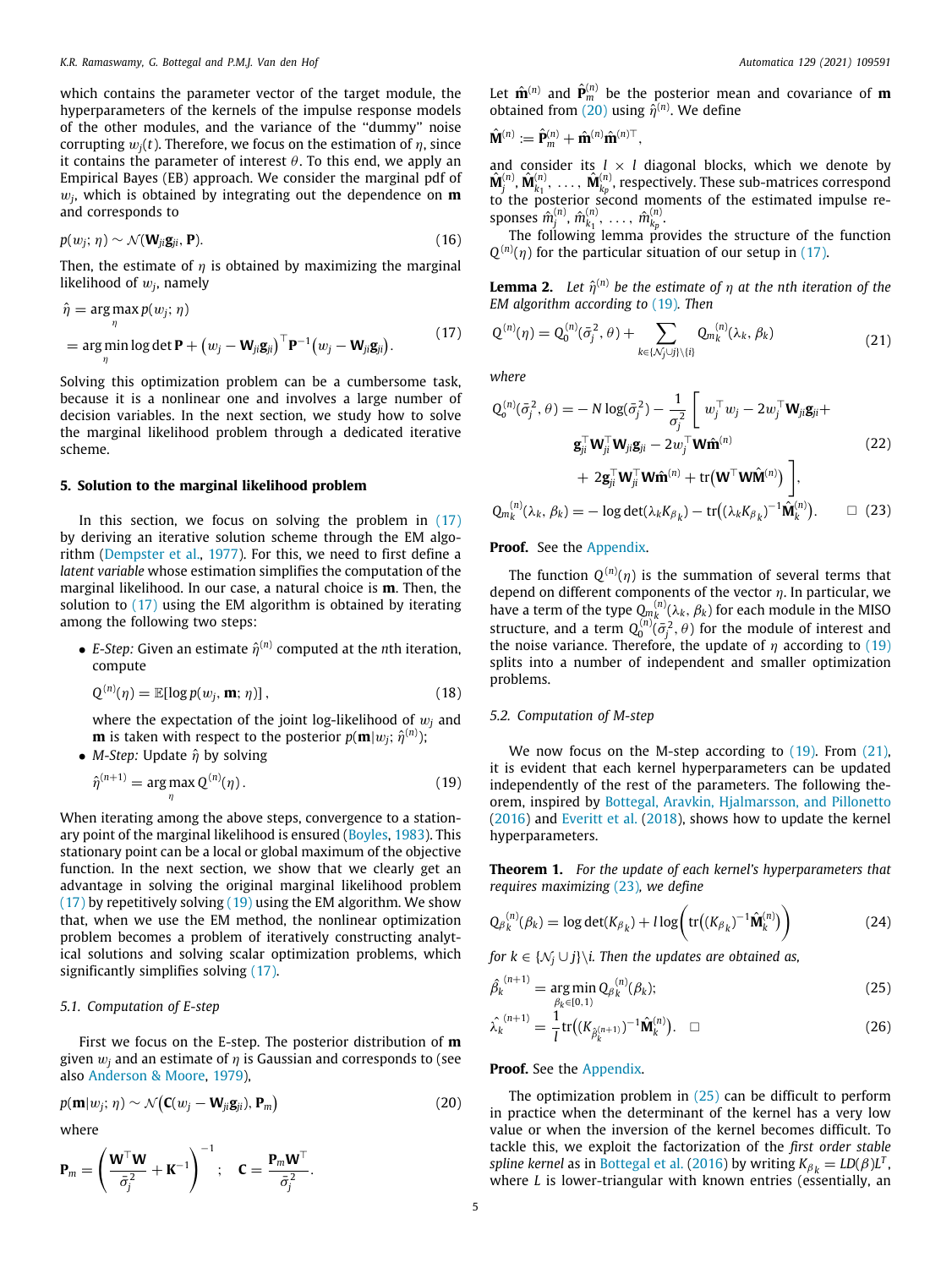which contains the parameter vector of the target module, the hyperparameters of the kernels of the impulse response models of the other modules, and the variance of the ''dummy'' noise corrupting  $w_i(t)$ . Therefore, we focus on the estimation of  $\eta$ , since it contains the parameter of interest  $\theta$ . To this end, we apply an Empirical Bayes (EB) approach. We consider the marginal pdf of w*j* , which is obtained by integrating out the dependence on **m** and corresponds to

$$
p(w_j; \eta) \sim \mathcal{N}(\mathbf{W}_{ji}\mathbf{g}_{ji}, \mathbf{P}).
$$
\n(16)

Then, the estimate of  $\eta$  is obtained by maximizing the marginal likelihood of  $w_j$ , namely

$$
\hat{\eta} = \underset{\eta}{\arg \max} p(w_j; \eta)
$$
\n
$$
= \underset{\eta}{\arg \min} \log \det \mathbf{P} + (w_j - \mathbf{W}_{ji} \mathbf{g}_{ji})^{\top} \mathbf{P}^{-1} (w_j - \mathbf{W}_{ji} \mathbf{g}_{ji}).
$$
\n(17)

Solving this optimization problem can be a cumbersome task, because it is a nonlinear one and involves a large number of decision variables. In the next section, we study how to solve the marginal likelihood problem through a dedicated iterative scheme.

## **5. Solution to the marginal likelihood problem**

In this section, we focus on solving the problem in [\(17\)](#page-4-0) by deriving an iterative solution scheme through the EM algorithm [\(Dempster et al.](#page-10-15), [1977](#page-10-15)). For this, we need to first define a *latent variable* whose estimation simplifies the computation of the marginal likelihood. In our case, a natural choice is **m**. Then, the solution to ([17](#page-4-0)) using the EM algorithm is obtained by iterating among the following two steps:

 $\bullet$  *E-Step:* Given an estimate  $\hat{\eta}^{(n)}$  computed at the *n*th iteration, compute

$$
Q^{(n)}(\eta) = \mathbb{E}[\log p(w_j, \mathbf{m}; \eta)], \qquad (18)
$$

where the expectation of the joint log-likelihood of w*<sup>j</sup>* and  ${\bf m}$  is taken with respect to the posterior  $p({\bf m}|w_j;\,\hat{\eta}^{(n)});$ 

• *M-Step:* Update  $\hat{\eta}$  by solving

$$
\hat{\eta}^{(n+1)} = \underset{\eta}{\text{arg max }} Q^{(n)}(\eta). \tag{19}
$$

When iterating among the above steps, convergence to a stationary point of the marginal likelihood is ensured [\(Boyles,](#page-10-16) [1983\)](#page-10-16). This stationary point can be a local or global maximum of the objective function. In the next section, we show that we clearly get an advantage in solving the original marginal likelihood problem  $(17)$  $(17)$  $(17)$  by repetitively solving  $(19)$  using the EM algorithm. We show that, when we use the EM method, the nonlinear optimization problem becomes a problem of iteratively constructing analytical solutions and solving scalar optimization problems, which significantly simplifies solving [\(17\)](#page-4-0).

# *5.1. Computation of E-step*

First we focus on the E-step. The posterior distribution of **m** given  $w_i$  and an estimate of  $\eta$  is Gaussian and corresponds to (see also [Anderson & Moore](#page-10-17), [1979](#page-10-17)),

$$
p(\mathbf{m}|w_j;\,\eta) \sim \mathcal{N}\big(\mathbf{C}(w_j - \mathbf{W}_{ji}\mathbf{g}_{ji}),\mathbf{P}_m\big) \tag{20}
$$

.

where

$$
\mathbf{P}_m = \left(\frac{\mathbf{W}^\top \mathbf{W}}{\bar{\sigma}_j^2} + \mathbf{K}^{-1}\right)^{-1}; \quad \mathbf{C} = \frac{\mathbf{P}_m \mathbf{W}^\top}{\bar{\sigma}_j^2}
$$

Let  $\hat{\mathbf{m}}^{(n)}$  and  $\hat{\mathbf{P}}_m^{(n)}$  be the posterior mean and covariance of **m** obtained from [\(20](#page-4-2)) using  $\hat{\eta}^{(n)}$ . We define

$$
\hat{\mathbf{M}}^{(n)} := \hat{\mathbf{P}}_m^{(n)} + \hat{\mathbf{m}}^{(n)} \hat{\mathbf{m}}^{(n)\top},
$$

and consider its  $l \times l$  diagonal blocks, which we denote by  $\hat{\mathbf{M}}^{(n)}_j, \hat{\mathbf{M}}^{(n)}_{k_1}, \ \ldots, \ \hat{\mathbf{M}}^{(n)}_{k_p},$  respectively. These sub-matrices correspond to the posterior second moments of the estimated impulse responses  $\hat{m}^{(n)}_j$ ,  $\hat{m}^{(n)}_{k_1}$ , ...,  $\hat{m}^{(n)}_{k_p}$ .

The following lemma provides the structure of the function  $Q^{(n)}(\eta)$  for the particular situation of our setup in [\(17](#page-4-0)).

<span id="page-4-8"></span>**Lemma 2.** Let  $\hat{\eta}^{(n)}$  be the estimate of  $\eta$  at the nth iteration of the *EM algorithm according to* [\(19\)](#page-4-1)*. Then*

<span id="page-4-3"></span><span id="page-4-0"></span>
$$
Q^{(n)}(\eta) = Q_0^{(n)}(\bar{\sigma}_j^2, \theta) + \sum_{k \in \{\mathcal{N}_j \cup j\} \setminus \{i\}} Q_{m_k}^{(n)}(\lambda_k, \beta_k)
$$
(21)

*where*

<span id="page-4-7"></span>
$$
Q_{o}^{(n)}(\bar{\sigma}_{j}^{2}, \theta) = -N \log(\bar{\sigma}_{j}^{2}) - \frac{1}{\sigma_{j}^{2}} \left[ w_{j}^{\top} w_{j} - 2 w_{j}^{\top} \mathbf{W}_{ji} \mathbf{g}_{ji} + \mathbf{g}_{ji}^{\top} \mathbf{W}_{ji}^{\top} \mathbf{g}_{ji} - 2 w_{j}^{\top} \mathbf{W} \hat{\mathbf{m}}^{(n)} \right]
$$
\n
$$
+ 2 \mathbf{g}_{ji}^{\top} \mathbf{W}_{ji}^{\top} \mathbf{W} \hat{\mathbf{m}}^{(n)} + \text{tr}(\mathbf{W}^{\top} \mathbf{W} \hat{\mathbf{M}}^{(n)}) \right],
$$
\n
$$
Q_{m_{k}}^{(n)}(\lambda_{k}, \beta_{k}) = -\log \det(\lambda_{k} K_{\beta_{k}}) - \text{tr}((\lambda_{k} K_{\beta_{k}})^{-1} \hat{\mathbf{M}}_{k}^{(n)}). \qquad \Box \quad (23)
$$

#### <span id="page-4-4"></span>**Proof.** See the [Appendix](#page-8-0).

The function  $Q^{(n)}(\eta)$  is the summation of several terms that depend on different components of the vector  $\eta$ . In particular, we have a term of the type  $Q_{m_k}^{(n)}(\lambda_k, \beta_k)$  for each module in the MISO structure, and a term  $Q_0^{(n)}(\bar{\sigma}_j^2, \theta)$  for the module of interest and the noise variance. Therefore, the update of  $\eta$  according to [\(19\)](#page-4-1) splits into a number of independent and smaller optimization problems.

# <span id="page-4-9"></span>*5.2. Computation of M-step*

<span id="page-4-1"></span>We now focus on the M-step according to ([19](#page-4-1)). From [\(21\)](#page-4-3), it is evident that each kernel hyperparameters can be updated independently of the rest of the parameters. The following theorem, inspired by [Bottegal, Aravkin, Hjalmarsson, and Pillonetto](#page-10-18) ([2016\)](#page-10-18) and [Everitt et al.](#page-10-9) ([2018\)](#page-10-9), shows how to update the kernel hyperparameters.

<span id="page-4-10"></span>**Theorem 1.** *For the update of each kernel's hyperparameters that requires maximizing* [\(23](#page-4-4))*, we define*

<span id="page-4-11"></span>
$$
Q_{\beta_k}^{(n)}(\beta_k) = \log \det(K_{\beta_k}) + l \log \left( \text{tr}\big((K_{\beta_k})^{-1} \hat{\mathbf{M}}_k^{(n)}\big)\right) \tag{24}
$$

*for*  $k \in \{N_i \cup j\} \backslash i$ . Then the updates are obtained as,

<span id="page-4-5"></span>
$$
\hat{\beta_k}^{(n+1)} = \underset{\beta_k \in [0,1]}{\arg \min} Q_{\beta_k}^{(n)}(\beta_k); \tag{25}
$$

<span id="page-4-6"></span>
$$
\hat{\lambda_k}^{(n+1)} = \frac{1}{l} \text{tr} \big( (K_{\hat{\beta}_k^{(n+1)}})^{-1} \hat{\mathbf{M}}_k^{(n)} \big). \quad \Box
$$
\n(26)

# **Proof.** See the [Appendix](#page-8-0).

<span id="page-4-2"></span>The optimization problem in  $(25)$  $(25)$  $(25)$  can be difficult to perform in practice when the determinant of the kernel has a very low value or when the inversion of the kernel becomes difficult. To tackle this, we exploit the factorization of the *first order stable spline kernel* as in [Bottegal et al.](#page-10-18) [\(2016](#page-10-18)) by writing  $K_{\beta_k} = LD(\beta)L^T$ , where *L* is lower-triangular with known entries (essentially, an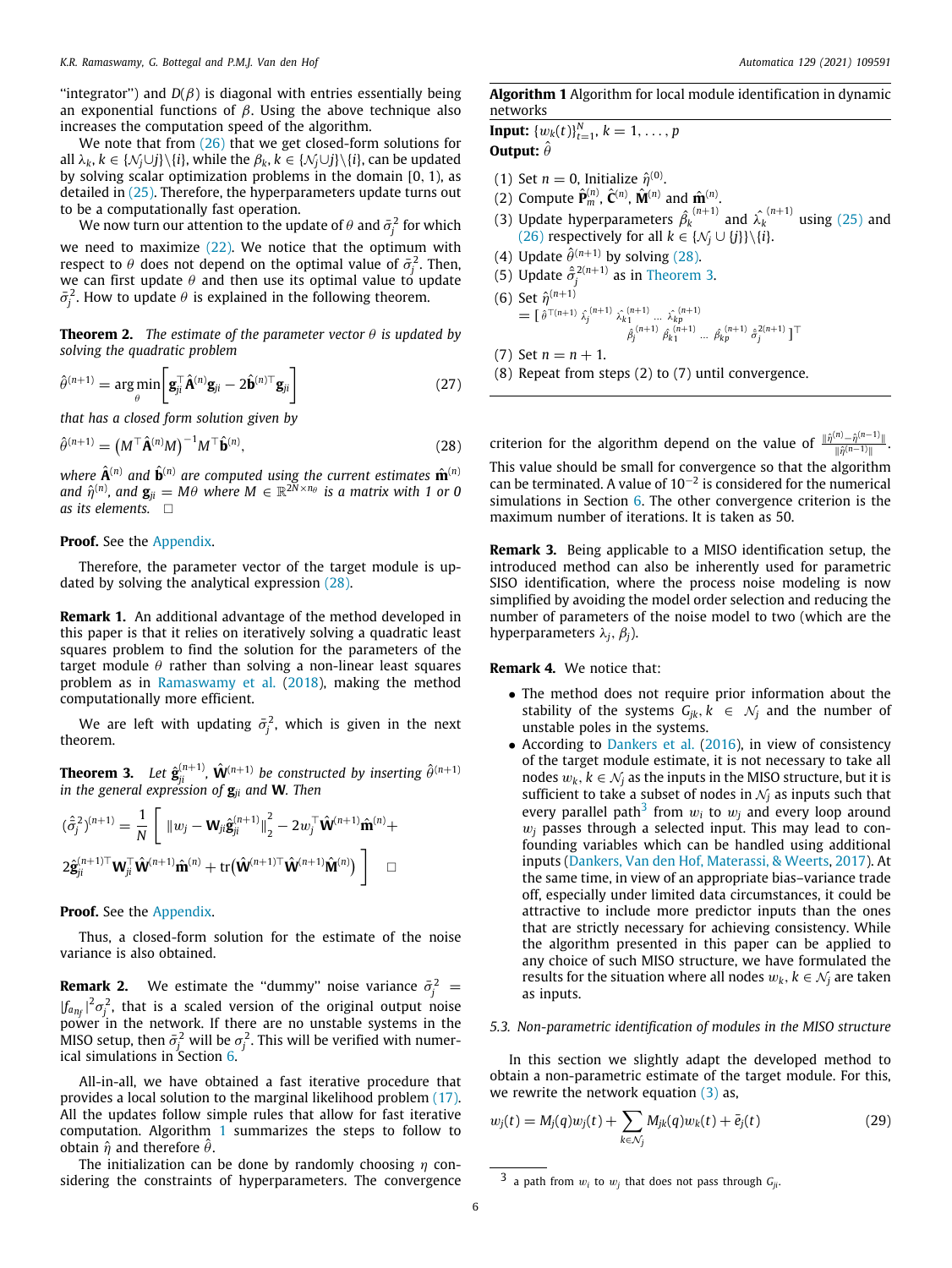"integrator") and  $D(\beta)$  is diagonal with entries essentially being an exponential functions of  $\beta$ . Using the above technique also increases the computation speed of the algorithm.

We note that from  $(26)$  that we get closed-form solutions for all  $\lambda_k$ ,  $k \in \{N_i \cup j\} \setminus \{i\}$ , while the  $\beta_k$ ,  $k \in \{N_i \cup j\} \setminus \{i\}$ , can be updated by solving scalar optimization problems in the domain [0, 1), as detailed in ([25](#page-4-5)). Therefore, the hyperparameters update turns out to be a computationally fast operation.

We now turn our attention to the update of  $\theta$  and  $\bar{\sigma}^2_j$  for which

we need to maximize  $(22)$ . We notice that the optimum with respect to  $\theta$  does not depend on the optimal value of  $\bar{\sigma}_j^2$ . Then, we can first update  $\theta$  and then use its optimal value to update  $\bar{\sigma}_j^2$ . How to update  $\theta$  is explained in the following theorem.

<span id="page-5-5"></span>**Theorem 2.** *The estimate of the parameter vector*  $\theta$  *is updated by solving the quadratic problem*

$$
\hat{\theta}^{(n+1)} = \arg\min_{\theta} \left[ \mathbf{g}_{ji}^{\top} \hat{\mathbf{A}}^{(n)} \mathbf{g}_{ji} - 2 \hat{\mathbf{b}}^{(n)\top} \mathbf{g}_{ji} \right]
$$
(27)

*that has a closed form solution given by*

$$
\hat{\theta}^{(n+1)} = \left(M^{\top}\hat{\mathbf{A}}^{(n)}M\right)^{-1}M^{\top}\hat{\mathbf{b}}^{(n)},\tag{28}
$$

where  $\hat{\mathbf{A}}^{(n)}$  and  $\hat{\mathbf{b}}^{(n)}$  are computed using the current estimates  $\hat{\mathbf{m}}^{(n)}$ and  $\hat{\eta}^{(n)}$ , and  $\mathbf{g}_{ji} = M\theta$  where  $M \in \mathbb{R}^{2\bar{N} \times n_{\theta}}$  is a matrix with 1 or 0 *as its elements.* □

## **Proof.** See the [Appendix](#page-8-0).

Therefore, the parameter vector of the target module is updated by solving the analytical expression [\(28\)](#page-5-0).

**Remark 1.** An additional advantage of the method developed in this paper is that it relies on iteratively solving a quadratic least squares problem to find the solution for the parameters of the target module  $\theta$  rather than solving a non-linear least squares problem as in [Ramaswamy et al.](#page-11-14) [\(2018](#page-11-14)), making the method computationally more efficient.

We are left with updating  $\bar{\sigma}_j^2$ , which is given in the next theorem.

<span id="page-5-2"></span>**Theorem 3.** Let  $\hat{\mathbf{g}}_{ji}^{(n+1)}$ ,  $\hat{\mathbf{W}}^{(n+1)}$  be constructed by inserting  $\hat{\theta}^{(n+1)}$ *in the general expression of* **g***ji and* **W***. Then*

$$
(\hat{\sigma}_j^2)^{(n+1)} = \frac{1}{N} \left[ \left\| w_j - \mathbf{W}_{ji} \hat{\mathbf{g}}_{ji}^{(n+1)} \right\|_2^2 - 2 w_j^\top \hat{\mathbf{W}}^{(n+1)} \hat{\mathbf{m}}^{(n)} + \right.
$$
  

$$
2 \hat{\mathbf{g}}_{ji}^{(n+1)\top} \mathbf{W}_{ji}^\top \hat{\mathbf{W}}^{(n+1)} \hat{\mathbf{m}}^{(n)} + \text{tr}(\hat{\mathbf{W}}^{(n+1)\top} \hat{\mathbf{W}}^{(n+1)} \hat{\mathbf{M}}^{(n)}) \right] \square
$$

**Proof.** See the [Appendix](#page-8-0).

<span id="page-5-4"></span>Thus, a closed-form solution for the estimate of the noise variance is also obtained.

**Remark 2.** We estimate the "dummy" noise variance  $\bar{\sigma}_j^2$  =  $|f_{a_{n_f}}|^2 \sigma_j^2$ , that is a scaled version of the original output noise power in the network. If there are no unstable systems in the MISO setup, then  $\bar{\sigma}_j^2$  will be  $\sigma_j^2$ . This will be verified with numerical simulations in Section [6.](#page-6-0)

All-in-all, we have obtained a fast iterative procedure that provides a local solution to the marginal likelihood problem [\(17\)](#page-4-0). All the updates follow simple rules that allow for fast iterative computation. Algorithm [1](#page-5-1) summarizes the steps to follow to obtain  $\hat{\eta}$  and therefore  $\hat{\theta}$ .

The initialization can be done by randomly choosing  $\eta$  considering the constraints of hyperparameters. The convergence

# <span id="page-5-1"></span>**Algorithm 1** Algorithm for local module identification in dynamic networks

**Input:**  $\{w_k(t)\}_{t=1}^N$ ,  $k = 1, \ldots, p$ **Output:**  $\hat{\theta}$ 

- (1) Set  $n = 0$ , Initialize  $\hat{\eta}^{(0)}$ .
- (2) Compute  $\hat{\mathbf{P}}_m^{(n)}$ ,  $\hat{\mathbf{C}}^{(n)}$ ,  $\hat{\mathbf{M}}^{(n)}$  and  $\hat{\mathbf{m}}^{(n)}$ .
- (3) Update hyperparameters  $\hat{\beta}_k^{(n+1)}$  and  $\hat{\lambda}_k^{(n+1)}$  using [\(25\)](#page-4-5) and ([26](#page-4-6)) respectively for all  $k \in \{N_j \cup \{j\}\}\backslash \{i\}.$
- (4) Update  $\hat{\theta}^{(n+1)}$  by solving ([28](#page-5-0)).
- (5) Update  $\hat{\sigma}^{2(n+1)}_j$  as in [Theorem](#page-5-2) [3.](#page-5-2)
- (6) Set  $\hat{\eta}^{(n+1)}$ =  $\begin{bmatrix} \hat{\theta}^{\top(n+1)} \hat{\lambda}_j^{(n+1)} \hat{\lambda}_k^{(n+1)} \dots \hat{\lambda}_{kp}^{(n+1)} \\ \hat{\beta}_j^{(n+1)} \hat{\beta}_k^{(n+1)} \dots \hat{\beta}_{kp}^{(n+1)} \hat{\sigma}_{kp}^{2(n+1)} \hat{\sigma}_j^{2(n+1)} \end{bmatrix}^{\top}$

(7) Set  $n = n + 1$ .

(8) Repeat from steps (2) to (7) until convergence.

<span id="page-5-0"></span>criterion for the algorithm depend on the value of  $\frac{\|\hat{\eta}^{(n)} - \hat{\eta}^{(n-1)}\|}{\|\hat{\eta}^{(n)} - \hat{\eta}^{(n-1)}\|}$  $\frac{n-1}{\|\hat{\eta}^{(n-1)}\|}$ .

This value should be small for convergence so that the algorithm can be terminated. A value of  $10^{-2}$  is considered for the numerical simulations in Section [6](#page-6-0). The other convergence criterion is the maximum number of iterations. It is taken as 50.

**Remark 3.** Being applicable to a MISO identification setup, the introduced method can also be inherently used for parametric SISO identification, where the process noise modeling is now simplified by avoiding the model order selection and reducing the number of parameters of the noise model to two (which are the hyperparameters λ*j*, β*j*).

### **Remark 4.** We notice that:

- The method does not require prior information about the stability of the systems  $G_{jk}$ ,  $k \in \mathcal{N}_j$  and the number of unstable poles in the systems.
- <span id="page-5-3"></span>• According to [Dankers et al.](#page-10-8) [\(2016\)](#page-10-8), in view of consistency of the target module estimate, it is not necessary to take all nodes  $w_k$ ,  $k \in \mathcal{N}_i$  as the inputs in the MISO structure, but it is sufficient to take a subset of nodes in  $N_i$  as inputs such that every parallel path<sup>[3](#page-5-3)</sup> from  $w_i$  to  $w_j$  and every loop around  $w_i$  passes through a selected input. This may lead to confounding variables which can be handled using additional inputs [\(Dankers, Van den Hof, Materassi, & Weerts,](#page-10-19) [2017](#page-10-19)). At the same time, in view of an appropriate bias–variance trade off, especially under limited data circumstances, it could be attractive to include more predictor inputs than the ones that are strictly necessary for achieving consistency. While the algorithm presented in this paper can be applied to any choice of such MISO structure, we have formulated the results for the situation where all nodes  $w_k$ ,  $k \in \mathcal{N}_j$  are taken as inputs.

# *5.3. Non-parametric identification of modules in the MISO structure*

In this section we slightly adapt the developed method to obtain a non-parametric estimate of the target module. For this, we rewrite the network equation  $(3)$  $(3)$  as,

$$
w_j(t) = M_j(q)w_j(t) + \sum_{k \in \mathcal{N}_j} M_{jk}(q)w_k(t) + \bar{e}_j(t)
$$
\n(29)

 $3$  a path from  $w_i$  to  $w_j$  that does not pass through  $G_{ji}$ .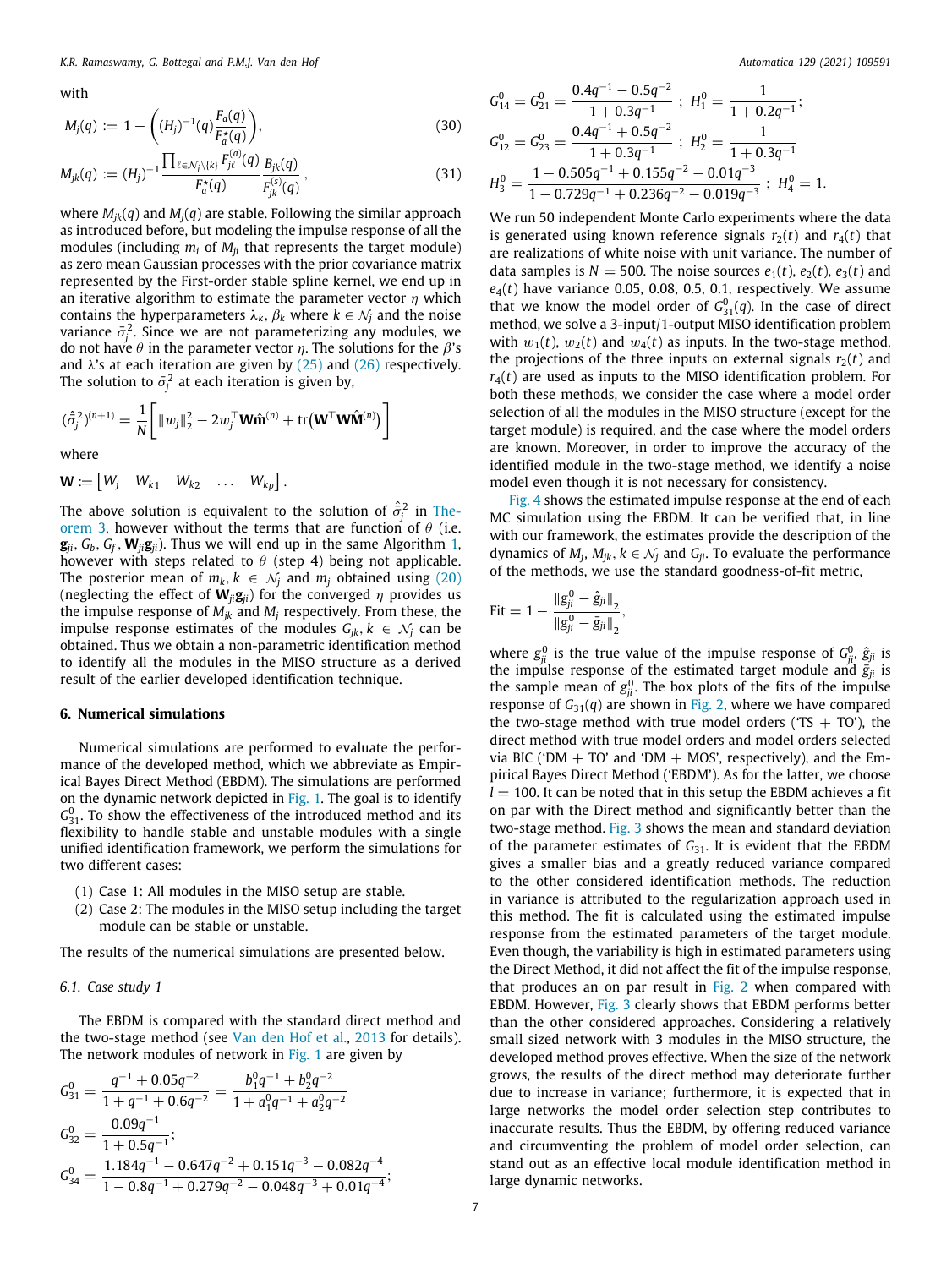with

$$
M_j(q) := 1 - \left( (H_j)^{-1}(q) \frac{F_a(q)}{F_a^*(q)} \right), \tag{30}
$$

$$
M_{jk}(q) := (H_j)^{-1} \frac{\prod_{\ell \in \mathcal{N}_j \setminus \{k\}} F_{j\ell}^{(a)}(q)}{F_{j\ell}^*(q)} \frac{B_{jk}(q)}{F_{jk}^{(s)}(q)}, \qquad (31)
$$

where *Mjk*(*q*) and *Mj*(*q*) are stable. Following the similar approach as introduced before, but modeling the impulse response of all the modules (including  $m_i$  of  $M_{ii}$  that represents the target module) as zero mean Gaussian processes with the prior covariance matrix represented by the First-order stable spline kernel, we end up in an iterative algorithm to estimate the parameter vector  $\eta$  which contains the hyperparameters  $\lambda_k$ ,  $\beta_k$  where  $k \in \mathcal{N}_j$  and the noise variance  $\bar{\sigma}_j^2$ . Since we are not parameterizing any modules, we do not have  $θ$  in the parameter vector  $η$ . The solutions for the  $β$ 's and  $\lambda$ 's at each iteration are given by [\(25\)](#page-4-5) and ([26\)](#page-4-6) respectively. The solution to  $\bar{\sigma}^2_j$  at each iteration is given by,

$$
(\hat{\sigma}_j^2)^{(n+1)} = \frac{1}{N} \bigg[ ||w_j||_2^2 - 2w_j^{\top} \mathbf{W} \hat{\mathbf{n}}^{(n)} + \text{tr}(\mathbf{W}^{\top} \mathbf{W} \hat{\mathbf{M}}^{(n)}) \bigg]
$$

where

$$
\mathbf{W} := \begin{bmatrix} W_j & W_{k1} & W_{k2} & \dots & W_{kp} \end{bmatrix}.
$$

The above solution is equivalent to the solution of  $\hat{\sigma}_j^2$  in [The](#page-5-2)[orem](#page-5-2) [3](#page-5-2), however without the terms that are function of  $\theta$  (i.e.  $\mathbf{g}_{ii}$ ,  $G_b$ ,  $G_f$ ,  $\mathbf{W}_{ii} \mathbf{g}_{ii}$ ). Thus we will end up in the same Algorithm [1,](#page-5-1) however with steps related to  $\theta$  (step 4) being not applicable. The posterior mean of  $m_k$ ,  $k \in \mathcal{N}_i$  and  $m_i$  obtained using [\(20\)](#page-4-2) (neglecting the effect of  $W_{ii}g_{ii}$ ) for the converged  $\eta$  provides us the impulse response of  $M_{jk}$  and  $M_j$  respectively. From these, the impulse response estimates of the modules  $G_{ik}$ ,  $k \in \mathcal{N}_i$  can be obtained. Thus we obtain a non-parametric identification method to identify all the modules in the MISO structure as a derived result of the earlier developed identification technique.

#### **6. Numerical simulations**

<span id="page-6-0"></span>Numerical simulations are performed to evaluate the performance of the developed method, which we abbreviate as Empirical Bayes Direct Method (EBDM). The simulations are performed on the dynamic network depicted in [Fig.](#page-1-0) [1.](#page-1-0) The goal is to identify  $G_{31}^0$ . To show the effectiveness of the introduced method and its flexibility to handle stable and unstable modules with a single unified identification framework, we perform the simulations for two different cases:

- (1) Case 1: All modules in the MISO setup are stable.
- (2) Case 2: The modules in the MISO setup including the target module can be stable or unstable.

The results of the numerical simulations are presented below.

# *6.1. Case study 1*

The EBDM is compared with the standard direct method and the two-stage method (see [Van den Hof et al.](#page-11-17), [2013](#page-11-17) for details). The network modules of network in [Fig.](#page-1-0) [1](#page-1-0) are given by

$$
G_{31}^{0} = \frac{q^{-1} + 0.05q^{-2}}{1 + q^{-1} + 0.6q^{-2}} = \frac{b_1^0 q^{-1} + b_2^0 q^{-2}}{1 + a_1^0 q^{-1} + a_2^0 q^{-2}}
$$
  
\n
$$
G_{32}^{0} = \frac{0.09q^{-1}}{1 + 0.5q^{-1}};
$$
  
\n
$$
G_{34}^{0} = \frac{1.184q^{-1} - 0.647q^{-2} + 0.151q^{-3} - 0.082q^{-4}}{1 - 0.8q^{-1} + 0.279q^{-2} - 0.048q^{-3} + 0.01q^{-4}};
$$

$$
G_{14}^{0} = G_{21}^{0} = \frac{0.4q^{-1} - 0.5q^{-2}}{1 + 0.3q^{-1}}; H_{1}^{0} = \frac{1}{1 + 0.2q^{-1}};
$$
  
\n
$$
G_{12}^{0} = G_{23}^{0} = \frac{0.4q^{-1} + 0.5q^{-2}}{1 + 0.3q^{-1}}; H_{2}^{0} = \frac{1}{1 + 0.3q^{-1}}
$$
  
\n
$$
H_{3}^{0} = \frac{1 - 0.505q^{-1} + 0.155q^{-2} - 0.01q^{-3}}{1 - 0.729q^{-1} + 0.236q^{-2} - 0.019q^{-3}}; H_{4}^{0} = 1.
$$

We run 50 independent Monte Carlo experiments where the data is generated using known reference signals  $r_2(t)$  and  $r_4(t)$  that are realizations of white noise with unit variance. The number of data samples is  $N = 500$ . The noise sources  $e_1(t)$ ,  $e_2(t)$ ,  $e_3(t)$  and  $e_4(t)$  have variance 0.05, 0.08, 0.5, 0.1, respectively. We assume that we know the model order of  $G_{31}^0(q)$ . In the case of direct method, we solve a 3-input/1-output MISO identification problem with  $w_1(t)$ ,  $w_2(t)$  and  $w_4(t)$  as inputs. In the two-stage method, the projections of the three inputs on external signals  $r_2(t)$  and  $r_4(t)$  are used as inputs to the MISO identification problem. For both these methods, we consider the case where a model order selection of all the modules in the MISO structure (except for the target module) is required, and the case where the model orders are known. Moreover, in order to improve the accuracy of the identified module in the two-stage method, we identify a noise model even though it is not necessary for consistency.

[Fig.](#page-7-0) [4](#page-7-0) shows the estimated impulse response at the end of each MC simulation using the EBDM. It can be verified that, in line with our framework, the estimates provide the description of the dynamics of  $M_j$ ,  $M_{jk}$ ,  $k \in \mathcal{N}_j$  and  $G_{ji}$ . To evaluate the performance of the methods, we use the standard goodness-of-fit metric,

$$
\text{Fit} = 1 - \frac{\|g_{ji}^{0} - \hat{g}_{ji}\|_{2}}{\|g_{ji}^{0} - \bar{g}_{ji}\|_{2}},
$$

where  $g_{ji}^0$  is the true value of the impulse response of  $G_{ji}^0$ ,  $\hat{g}_{ji}$  is the impulse response of the estimated target module and  $\bar{g}_{ji}$  is the sample mean of  $g_{ji}^0$ . The box plots of the fits of the impulse response of  $G_{31}(q)$  are shown in [Fig.](#page-7-1) [2,](#page-7-1) where we have compared the two-stage method with true model orders ('TS  $+$  TO'), the direct method with true model orders and model orders selected via BIC ('DM  $+$  TO' and 'DM  $+$  MOS', respectively), and the Empirical Bayes Direct Method ('EBDM'). As for the latter, we choose  $l = 100$ . It can be noted that in this setup the EBDM achieves a fit on par with the Direct method and significantly better than the two-stage method. [Fig.](#page-7-2) [3](#page-7-2) shows the mean and standard deviation of the parameter estimates of G<sub>31</sub>. It is evident that the EBDM gives a smaller bias and a greatly reduced variance compared to the other considered identification methods. The reduction in variance is attributed to the regularization approach used in this method. The fit is calculated using the estimated impulse response from the estimated parameters of the target module. Even though, the variability is high in estimated parameters using the Direct Method, it did not affect the fit of the impulse response, that produces an on par result in [Fig.](#page-7-1) [2](#page-7-1) when compared with EBDM. However, [Fig.](#page-7-2) [3](#page-7-2) clearly shows that EBDM performs better than the other considered approaches. Considering a relatively small sized network with 3 modules in the MISO structure, the developed method proves effective. When the size of the network grows, the results of the direct method may deteriorate further due to increase in variance; furthermore, it is expected that in large networks the model order selection step contributes to inaccurate results. Thus the EBDM, by offering reduced variance and circumventing the problem of model order selection, can stand out as an effective local module identification method in large dynamic networks.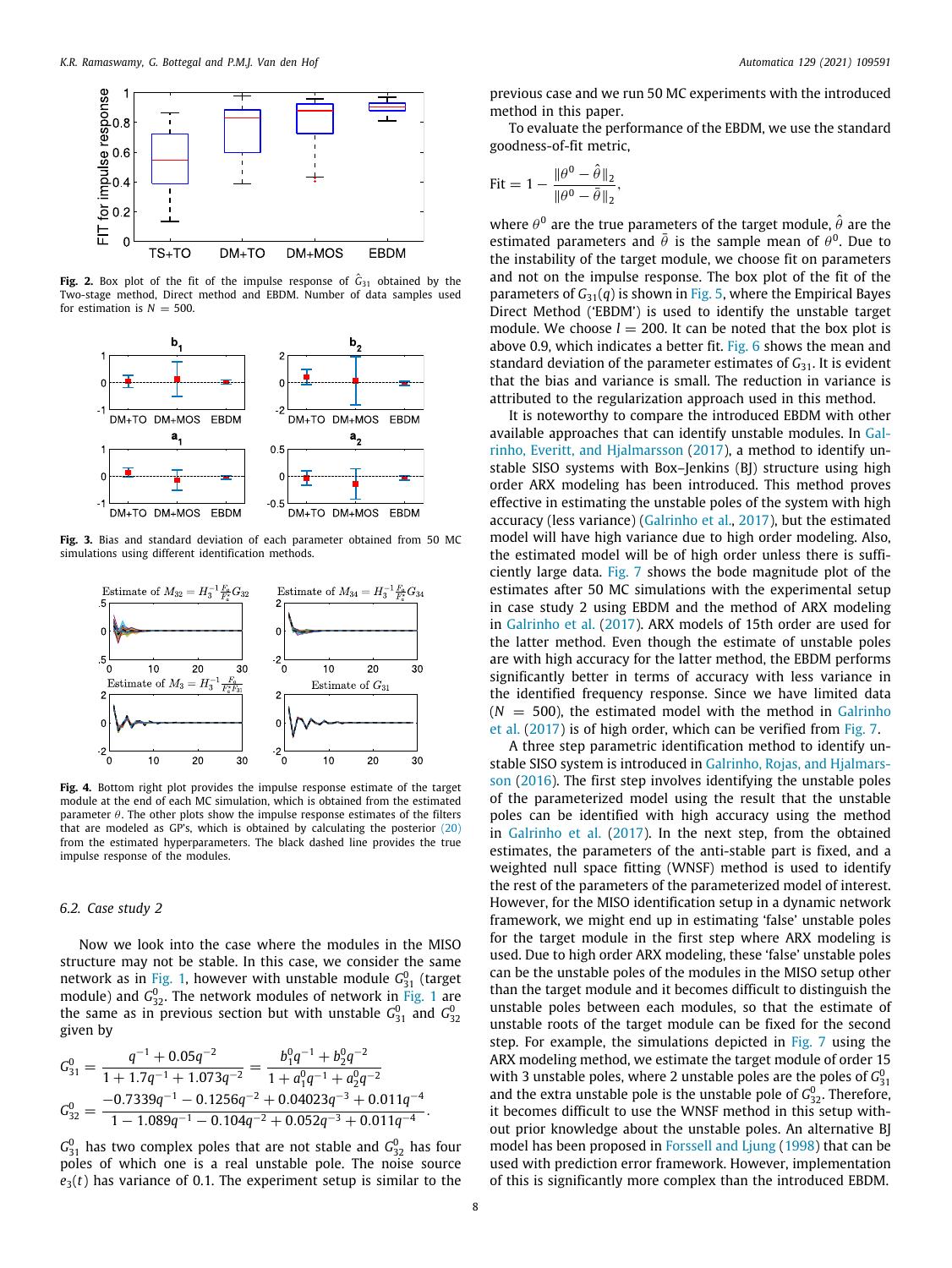

<span id="page-7-1"></span>**Fig. 2.** Box plot of the fit of the impulse response of  $\hat{G}_{31}$  obtained by the Two-stage method, Direct method and EBDM. Number of data samples used for estimation is  $N = 500$ .



<span id="page-7-2"></span>**Fig. 3.** Bias and standard deviation of each parameter obtained from 50 MC simulations using different identification methods.



<span id="page-7-0"></span>**Fig. 4.** Bottom right plot provides the impulse response estimate of the target module at the end of each MC simulation, which is obtained from the estimated parameter  $\theta$ . The other plots show the impulse response estimates of the filters that are modeled as GP's, which is obtained by calculating the posterior ([20](#page-4-2)) from the estimated hyperparameters. The black dashed line provides the true impulse response of the modules.

# *6.2. Case study 2*

Now we look into the case where the modules in the MISO structure may not be stable. In this case, we consider the same network as in [Fig.](#page-1-0) [1](#page-1-0), however with unstable module  $G_{31}^0$  (target module) and *G*<sup>0</sup><sub>32</sub>. The network modules of network in [Fig.](#page-1-0) [1](#page-1-0) are the same as in previous section but with unstable  $G_{31}^0$  and  $G_{32}^0$ given by

$$
G_{31}^0 = \frac{q^{-1} + 0.05q^{-2}}{1 + 1.7q^{-1} + 1.073q^{-2}} = \frac{b_1^0 q^{-1} + b_2^0 q^{-2}}{1 + a_1^0 q^{-1} + a_2^0 q^{-2}}
$$
  
\n
$$
G_{32}^0 = \frac{-0.7339q^{-1} - 0.1256q^{-2} + 0.04023q^{-3} + 0.011q^{-4}}{1 - 1.089q^{-1} - 0.104q^{-2} + 0.052q^{-3} + 0.011q^{-4}}.
$$

 $G_{31}^0$  has two complex poles that are not stable and  $G_{32}^0$  has four poles of which one is a real unstable pole. The noise source  $e_3(t)$  has variance of 0.1. The experiment setup is similar to the previous case and we run 50 MC experiments with the introduced method in this paper.

To evaluate the performance of the EBDM, we use the standard goodness-of-fit metric,

$$
\text{Fit} = 1 - \frac{\|\theta^0 - \hat{\theta}\|_2}{\|\theta^0 - \bar{\theta}\|_2},
$$

where  $\theta^0$  are the true parameters of the target module,  $\hat{\theta}$  are the estimated parameters and  $\bar{\theta}$  is the sample mean of  $\theta^0$ . Due to the instability of the target module, we choose fit on parameters and not on the impulse response. The box plot of the fit of the parameters of  $G_{31}(q)$  is shown in [Fig.](#page-8-1) [5](#page-8-1), where the Empirical Bayes Direct Method ('EBDM') is used to identify the unstable target module. We choose  $l = 200$ . It can be noted that the box plot is above 0.9, which indicates a better fit. [Fig.](#page-8-2) [6](#page-8-2) shows the mean and standard deviation of the parameter estimates of *G*31. It is evident that the bias and variance is small. The reduction in variance is attributed to the regularization approach used in this method.

It is noteworthy to compare the introduced EBDM with other available approaches that can identify unstable modules. In [Gal](#page-10-20)[rinho, Everitt, and Hjalmarsson](#page-10-20) ([2017\)](#page-10-20), a method to identify unstable SISO systems with Box–Jenkins (BJ) structure using high order ARX modeling has been introduced. This method proves effective in estimating the unstable poles of the system with high accuracy (less variance) [\(Galrinho et al.,](#page-10-20) [2017\)](#page-10-20), but the estimated model will have high variance due to high order modeling. Also, the estimated model will be of high order unless there is sufficiently large data. [Fig.](#page-8-3) [7](#page-8-3) shows the bode magnitude plot of the estimates after 50 MC simulations with the experimental setup in case study 2 using EBDM and the method of ARX modeling in [Galrinho et al.](#page-10-20) ([2017\)](#page-10-20). ARX models of 15th order are used for the latter method. Even though the estimate of unstable poles are with high accuracy for the latter method, the EBDM performs significantly better in terms of accuracy with less variance in the identified frequency response. Since we have limited data  $(N = 500)$ , the estimated model with the method in [Galrinho](#page-10-20) [et al.](#page-10-20) [\(2017\)](#page-10-20) is of high order, which can be verified from [Fig.](#page-8-3) [7](#page-8-3).

A three step parametric identification method to identify unstable SISO system is introduced in [Galrinho, Rojas, and Hjalmars](#page-10-21)[son](#page-10-21) ([2016](#page-10-21)). The first step involves identifying the unstable poles of the parameterized model using the result that the unstable poles can be identified with high accuracy using the method in [Galrinho et al.](#page-10-20) ([2017\)](#page-10-20). In the next step, from the obtained estimates, the parameters of the anti-stable part is fixed, and a weighted null space fitting (WNSF) method is used to identify the rest of the parameters of the parameterized model of interest. However, for the MISO identification setup in a dynamic network framework, we might end up in estimating 'false' unstable poles for the target module in the first step where ARX modeling is used. Due to high order ARX modeling, these 'false' unstable poles can be the unstable poles of the modules in the MISO setup other than the target module and it becomes difficult to distinguish the unstable poles between each modules, so that the estimate of unstable roots of the target module can be fixed for the second step. For example, the simulations depicted in [Fig.](#page-8-3) [7](#page-8-3) using the ARX modeling method, we estimate the target module of order 15 with 3 unstable poles, where 2 unstable poles are the poles of  $G_{31}^0$ and the extra unstable pole is the unstable pole of  $G_{32}^0$ . Therefore, it becomes difficult to use the WNSF method in this setup without prior knowledge about the unstable poles. An alternative BJ model has been proposed in [Forssell and Ljung](#page-10-22) ([1998\)](#page-10-22) that can be used with prediction error framework. However, implementation of this is significantly more complex than the introduced EBDM.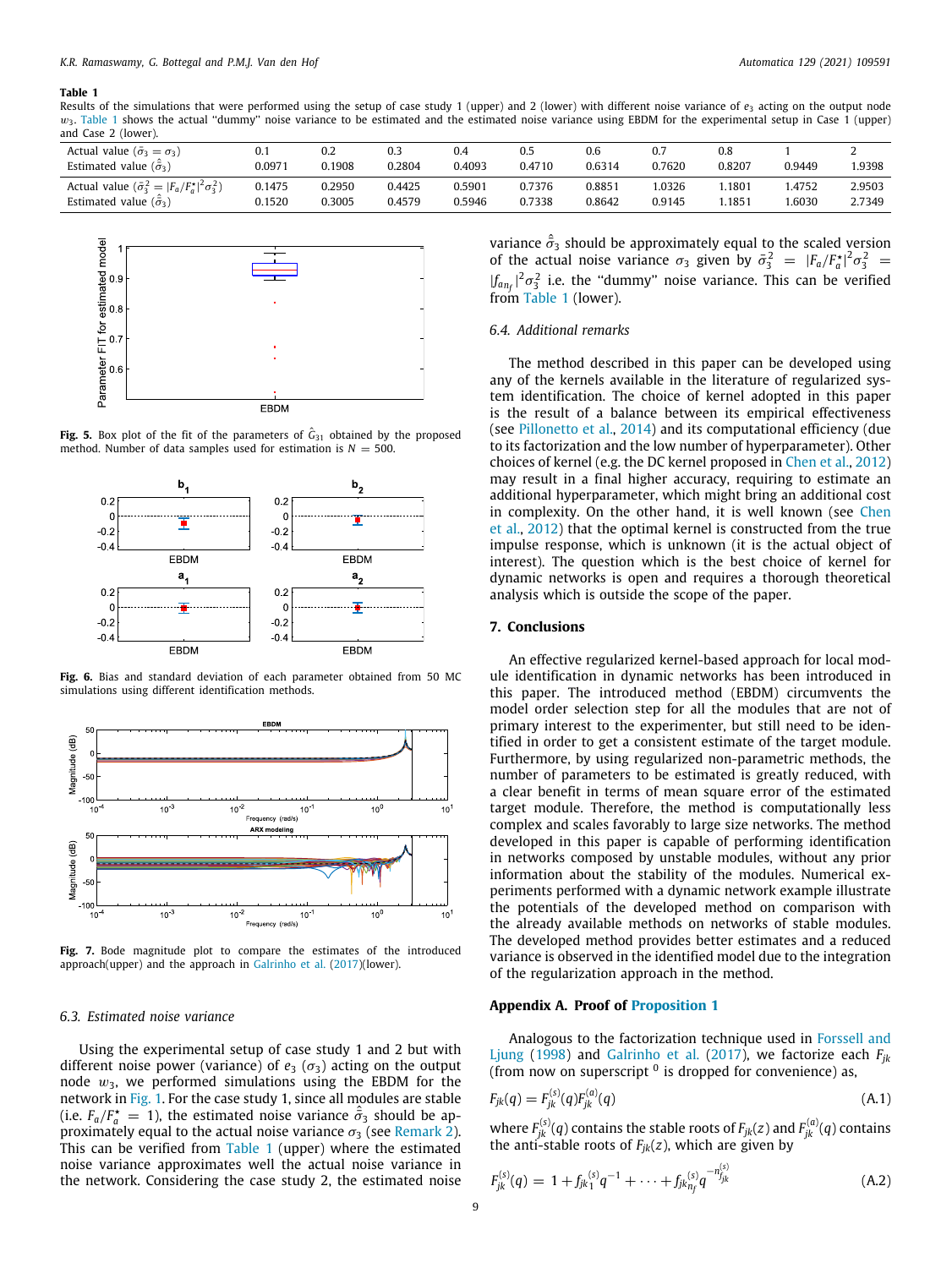#### **Table 1**

Results of the simulations that were performed using the setup of case study 1 (upper) and 2 (lower) with different noise variance of  $e_3$  acting on the output node  $w_3$ . [Table](#page-8-4) [1](#page-8-4) shows the actual "dummy" noise variance to be estimated and the estimated noise variance using EBDM for the experimental setup in Case 1 (upper) and Case 2 (lower).

<span id="page-8-4"></span>

| Actual value ( $\bar{\sigma}_3 = \sigma_3$ )                       | 0.1    | 0.2    | 0.3    | 0.4    | 0.5    | 0.6    | 0.7    | 0.8               |        |        |
|--------------------------------------------------------------------|--------|--------|--------|--------|--------|--------|--------|-------------------|--------|--------|
| Estimated value $(\vec{\sigma}_3)$                                 | 0.0971 | 0.1908 | 0.2804 | 0.4093 | 0.4710 | 0.6314 | 0.7620 | 0.8207            | 0.9449 | !9398  |
| Actual value $(\bar{\sigma}_3^2 =  F_a/F_a^{\star} ^2 \sigma_3^2)$ | 0.1475 | 0.2950 | 0.4425 | 0.5901 | 0.7376 | 0.8851 | .0326  | .1801             | 1.4752 | 2.9503 |
| Estimated value $(\vec{\sigma}_3)$                                 | 0.1520 | 0.3005 | 0.4579 | 0.5946 | 0.7338 | 0.8642 | 0.9145 | .185 <sup>2</sup> | .6030  | 2.7349 |
|                                                                    |        |        |        |        |        |        |        |                   |        |        |



<span id="page-8-1"></span>**Fig. 5.** Box plot of the fit of the parameters of  $\hat{G}_{31}$  obtained by the proposed method. Number of data samples used for estimation is  $N = 500$ .



<span id="page-8-2"></span>**Fig. 6.** Bias and standard deviation of each parameter obtained from 50 MC simulations using different identification methods.



<span id="page-8-3"></span>Fig. 7. Bode magnitude plot to compare the estimates of the introduced approach(upper) and the approach in [Galrinho et al.](#page-10-20) [\(2017](#page-10-20))(lower).

#### *6.3. Estimated noise variance*

Using the experimental setup of case study 1 and 2 but with different noise power (variance) of  $e_3(\sigma_3)$  acting on the output node  $w_3$ , we performed simulations using the EBDM for the network in [Fig.](#page-1-0) [1](#page-1-0). For the case study 1, since all modules are stable (i.e.  $F_a/F_a^* = 1$ ), the estimated noise variance  $\hat{\sigma}_3$  should be approximately equal to the actual noise variance  $\sigma_3$  (see [Remark](#page-5-4) [2\)](#page-5-4). This can be verified from [Table](#page-8-4) [1](#page-8-4) (upper) where the estimated noise variance approximates well the actual noise variance in the network. Considering the case study 2, the estimated noise

variance  $\hat{\sigma}_3$  should be approximately equal to the scaled version of the actual noise variance  $\sigma_3$  given by  $\bar{\sigma}_3^2 = |F_a/F_a^*|^2 \sigma_3^2 =$  $|f_{a_{n_f}}|^2 \sigma_3^2$  i.e. the "dummy" noise variance. This can be verified from [Table](#page-8-4) [1](#page-8-4) (lower).

# *6.4. Additional remarks*

The method described in this paper can be developed using any of the kernels available in the literature of regularized system identification. The choice of kernel adopted in this paper is the result of a balance between its empirical effectiveness (see [Pillonetto et al.,](#page-11-19) [2014](#page-11-19)) and its computational efficiency (due to its factorization and the low number of hyperparameter). Other choices of kernel (e.g. the DC kernel proposed in [Chen et al.](#page-10-14), [2012\)](#page-10-14) may result in a final higher accuracy, requiring to estimate an additional hyperparameter, which might bring an additional cost in complexity. On the other hand, it is well known (see [Chen](#page-10-14) [et al.,](#page-10-14) [2012](#page-10-14)) that the optimal kernel is constructed from the true impulse response, which is unknown (it is the actual object of interest). The question which is the best choice of kernel for dynamic networks is open and requires a thorough theoretical analysis which is outside the scope of the paper.

# **7. Conclusions**

An effective regularized kernel-based approach for local module identification in dynamic networks has been introduced in this paper. The introduced method (EBDM) circumvents the model order selection step for all the modules that are not of primary interest to the experimenter, but still need to be identified in order to get a consistent estimate of the target module. Furthermore, by using regularized non-parametric methods, the number of parameters to be estimated is greatly reduced, with a clear benefit in terms of mean square error of the estimated target module. Therefore, the method is computationally less complex and scales favorably to large size networks. The method developed in this paper is capable of performing identification in networks composed by unstable modules, without any prior information about the stability of the modules. Numerical experiments performed with a dynamic network example illustrate the potentials of the developed method on comparison with the already available methods on networks of stable modules. The developed method provides better estimates and a reduced variance is observed in the identified model due to the integration of the regularization approach in the method.

## **Appendix A. Proof of [Proposition](#page-2-7) [1](#page-2-7)**

<span id="page-8-0"></span>Analogous to the factorization technique used in [Forssell and](#page-10-22) [Ljung](#page-10-22) [\(1998](#page-10-22)) and [Galrinho et al.](#page-10-20) [\(2017](#page-10-20)), we factorize each *Fjk* (from now on superscript  $\delta$  is dropped for convenience) as,

$$
F_{jk}(q) = F_{jk}^{(s)}(q)F_{jk}^{(a)}(q)
$$
\n(A.1)

where  $F_{jk}^{(s)}(q)$  contains the stable roots of  $F_{jk}(z)$  and  $F_{jk}^{(a)}(q)$  contains the anti-stable roots of  $F_{jk}(z)$ , which are given by

$$
F_{jk}^{(s)}(q) = 1 + f_{jk}^{(s)}q^{-1} + \cdots + f_{jk}^{(s)}_{n_f}q^{-n_{jk}^{(s)}}
$$
(A.2)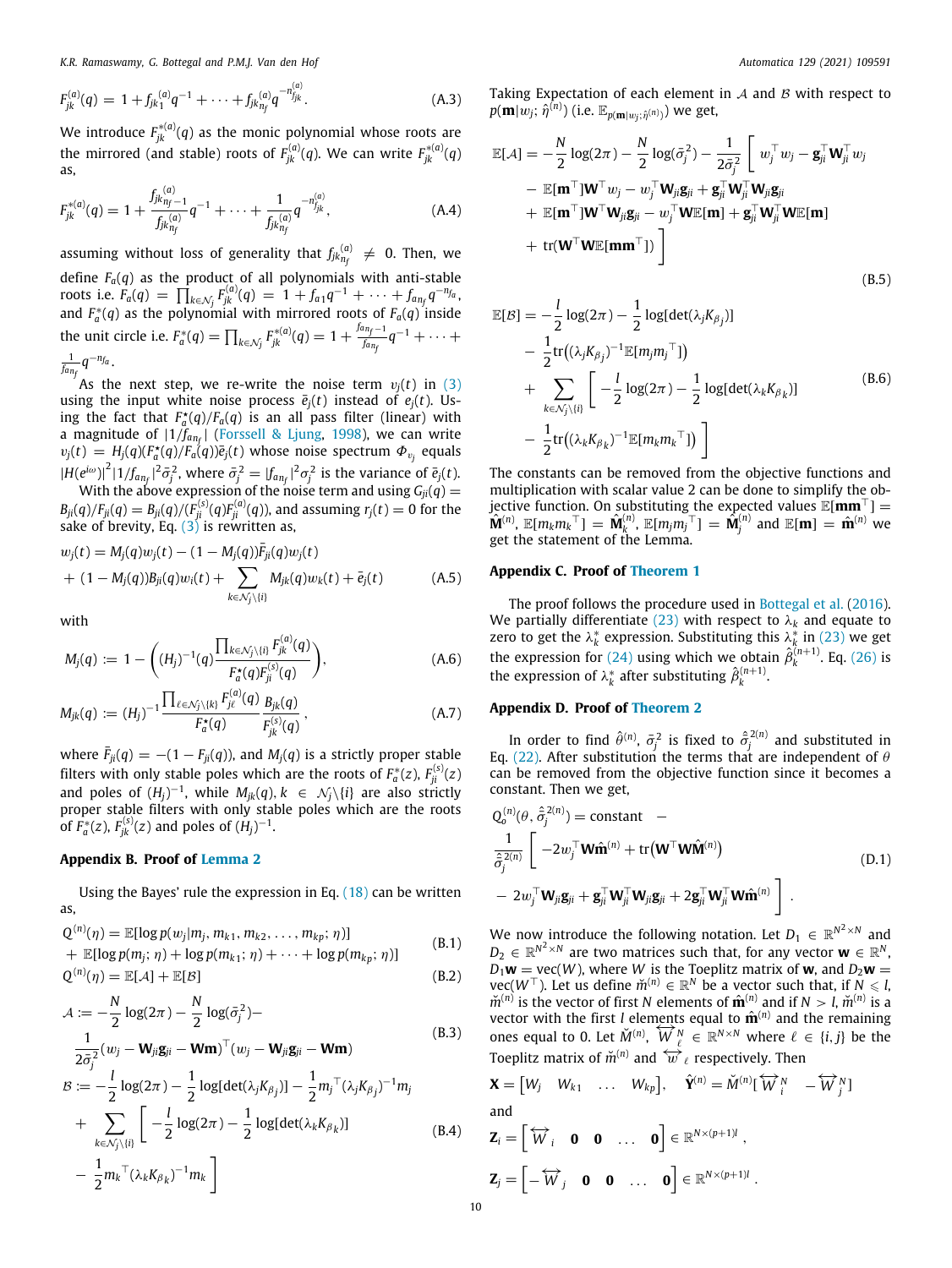*K.R. Ramaswamy, G. Bottegal and P.M.J. Van den Hof Automatica 129 (2021) 109591*

$$
F_{jk}^{(a)}(q) = 1 + f_{jk}^{(a)}q^{-1} + \cdots + f_{jk}^{(a)}q^{-n_{j_{jk}}^{(a)}}.
$$
 (A.3)

We introduce  $F^{\ast (a)}_{jk} (q)$  as the monic polynomial whose roots are the mirrored (and stable) roots of  $F_{jk}^{(a)}(q)$ . We can write  $F_{jk}^{*(a)}(q)$ as,

$$
F_{jk}^{*(a)}(q) = 1 + \frac{f_{jk}^{(a)}_{n_f-1}}{f_{jk}^{(a)}_{n_f}} q^{-1} + \dots + \frac{1}{f_{jk}^{(a)}_{n_f}} q^{-n_{jjk}^{(a)}},
$$
(A.4)

assuming without loss of generality that  $f_{jk}^{(a)}_{n_f} \neq 0$ . Then, we define  $F_a(q)$  as the product of all polynomials with anti-stable roots i.e.  $F_a(q) = \prod_{k \in \mathcal{N}_j} F_{jk}^{(a)}(q) = 1 + f_{a1}q^{-1} + \cdots + f_{a_{n_f}}q^{-n_{f_a}}$ and  $F_a^*(q)$  as the polynomial with mirrored roots of  $F_a(q)$  inside the unit circle i.e.  $F_a^*(q) = \prod_{k \in \mathcal{N}_j} F_{jk}^{*(q)}(q) = 1 + \frac{f_{a n_f - 1}}{f_{a n_f}}$  $\frac{f_{n}}{f_{a_{n_{f}}}}q^{-1}+\cdots+$  $\frac{1}{f_{a_{n_f}}}q^{-n_{fa}}$ .

As the next step, we re-write the noise term  $v_i(t)$  in ([3\)](#page-2-5) using the input white noise process  $\bar{e}_i(t)$  instead of  $e_i(t)$ . Using the fact that  $F_a^*(q)/F_a(q)$  is an all pass filter (linear) with a magnitude of |1/*fan<sup>f</sup>* | [\(Forssell & Ljung](#page-10-22), [1998](#page-10-22)), we can write  $v_j(t) = H_j(q)(F_a^{\star}(q)/F_a(q))\bar{e}_j(t)$  whose noise spectrum  $\Phi_{v_j}$  equals  $|H(e^{i\omega})|^2 |1/f_{a_{n_f}}|^2 \bar{\sigma}_j^2$ , where  $\bar{\sigma}_j^2 = |f_{a_{n_f}}|^2 \sigma_j^2$  is the variance of  $\bar{e}_j(t)$ .

With the above expression of the noise term and using  $G_{ji}(q)$  =  $B_{ji}(q)/F_{ji}(q) = B_{ji}(q)/(F_{ji}^{(s)}(q)F_{ji}^{(a)}(q))$ , and assuming  $r_j(t) = 0$  for the sake of brevity, Eq. ([3\)](#page-2-5) is rewritten as,

$$
w_j(t) = M_j(q)w_j(t) - (1 - M_j(q))\bar{F}_{ji}(q)w_j(t) + (1 - M_j(q))B_{ji}(q)w_i(t) + \sum_{k \in \mathcal{N}_j \setminus \{i\}} M_{jk}(q)w_k(t) + \bar{e}_j(t)
$$
 (A.5)

with

$$
M_j(q) := 1 - \left( (H_j)^{-1}(q) \frac{\prod_{k \in \mathcal{N}_j \setminus \{i\}} F_{jk}^{(a)}(q)}{F_a^{\star}(q)F_{ji}^{(s)}(q)} \right), \tag{A.6}
$$

$$
M_{jk}(q) := (H_j)^{-1} \frac{\prod_{\ell \in \mathcal{N}_j \setminus \{k\}} F_j^{(a)}(q)}{F_a^*(q)} \frac{B_{jk}(q)}{F_{jk}^{(s)}(q)}, \qquad (A.7)
$$

where  $F_{ji}(q) = -(1 - F_{ji}(q))$ , and  $M_j(q)$  is a strictly proper stable filters with only stable poles which are the roots of  $F_a^*(z)$ ,  $F_{ji}^{(s)}(z)$ and poles of  $(H_j)^{-1}$ , while  $M_{jk}(q)$ ,  $k \in \mathcal{N}_j \setminus \{i\}$  are also strictly proper stable filters with only stable poles which are the roots of  $F_a^*(z)$ ,  $F_{jk}^{(s)}(z)$  and poles of  $(H_j)^{-1}$ .

# **Appendix B. Proof of [Lemma](#page-4-8) [2](#page-4-8)**

Using the Bayes' rule the expression in Eq.  $(18)$  $(18)$  $(18)$  can be written as,

$$
Q^{(n)}(\eta) = \mathbb{E}[\log p(w_j|m_j, m_{k1}, m_{k2}, \dots, m_{kp}; \eta)] + \mathbb{E}[\log p(m_j; \eta) + \log p(m_{k1}; \eta) + \dots + \log p(m_{kp}; \eta)]
$$
 (B.1)

$$
Q^{(n)}(\eta) = \mathbb{E}[\mathcal{A}] + \mathbb{E}[\mathcal{B}] \tag{B.2}
$$

$$
\mathcal{A} := -\frac{N}{2}\log(2\pi) - \frac{N}{2}\log(\bar{\sigma}_j^2) -
$$
\n
$$
\frac{1}{2\bar{\sigma}_j^2}(w_j - \mathbf{W}_{ji}\mathbf{g}_{ji} - \mathbf{W}\mathbf{m})^\top(w_j - \mathbf{W}_{ji}\mathbf{g}_{ji} - \mathbf{W}\mathbf{m})
$$
\n
$$
\mathcal{B} := -\frac{1}{2}\log(2\pi) - \frac{1}{2}\log[\det(\lambda_j K_{\beta_j})] - \frac{1}{2}m_j^\top(\lambda_j K_{\beta_j})^{-1}m_j
$$
\n
$$
+ \sum_{k \in \mathcal{N}_j \setminus \{i\}} \left[ -\frac{1}{2}\log(2\pi) - \frac{1}{2}\log[\det(\lambda_k K_{\beta_k})] - \frac{1}{2}m_k^\top(\lambda_k K_{\beta_k})^{-1}m_k \right]
$$
\n(B.4)

Taking Expectation of each element in  $\mathcal A$  and  $\mathcal B$  with respect to  $p(\mathbf{m}|\bar{w_j};\,\hat{\eta}^{(n)})$  (i.e.  $\mathbb{E}_{p(\mathbf{m}|\bar{w_j};\,\hat{\eta}^{(n)})})$  we get,

$$
\mathbb{E}[A] = -\frac{N}{2}\log(2\pi) - \frac{N}{2}\log(\bar{\sigma}_j^2) - \frac{1}{2\bar{\sigma}_j^2} \left[ w_j^\top w_j - \mathbf{g}_{ji}^\top \mathbf{W}_{ji}^\top w_j - \mathbf{F}_{ji}^\top \mathbf{W}_{ji}^\top w_j - \mathbf{W}_{ji}^\top \mathbf{W}_{ji}^\top \mathbf{W}_{ji} - \mathbf{W}_{ji}^\top \mathbf{W}_{ji}^\top \mathbf{W}_{ji}^\top \mathbf{W}_{ji}^\top \mathbf{W}_{ji}^\top \mathbf{W}_{ji}^\top \mathbf{W}_{ji}^\top \mathbf{W}_{ji}^\top \mathbf{W}_{ji}^\top \mathbf{W}_{ji}^\top \mathbf{W}_{ji}^\top \mathbf{W}_{ji}^\top \mathbf{W}_{ij}^\top \mathbf{W}_{ij}^\top \mathbf{W}_{ij}^\top \mathbf{W}_{ij}^\top \mathbf{W}_{ij}^\top \mathbf{W}_{ij}^\top \mathbf{W}_{ij}^\top \mathbf{W}_{ij}^\top \mathbf{W}_{ij}^\top \mathbf{W}_{ij}^\top \mathbf{W}_{ij}^\top \mathbf{W}_{ij}^\top \mathbf{W}_{ij}^\top \mathbf{W}_{ij}^\top \mathbf{W}_{ij}^\top \mathbf{W}_{ij}^\top \mathbf{W}_{ij}^\top \mathbf{W}_{ij}^\top \mathbf{W}_{ij}^\top \mathbf{W}_{ij}^\top \mathbf{W}_{ij}^\top \mathbf{W}_{ij}^\top \mathbf{W}_{ij}^\top \mathbf{W}_{ij}^\top \mathbf{W}_{ij}^\top \mathbf{W}_{ij}^\top \mathbf{W}_{ij}^\top \mathbf{W}_{ij}^\top \mathbf{W}_{ij}^\top \mathbf{W}_{ij}^\top \mathbf{W}_{ij}^\top \mathbf{W}_{ij}^\top \mathbf{W}_{ij}^\top \mathbf{W}_{ij}^\top \mathbf{W}_{ij}^\top \mathbf{W}_{ij}^\top \mathbf{W}_{ij}^\top \mathbf{W}_{ij}^\top \mathbf{W}_{ij}^\top \mathbf{W}_{ij}^\top \mathbf{W}_{ij}^\top \mathbf{W}_{ij}^\top \mathbf{W}_{ij}^\top \mathbf{W}_{ij}^\top \mathbf{W}_{ij}^\top \mathbf{W}_{ij}^\top \mathbf{W}_{ij}^\top \mathbf{W}_{ij}^\top \mathbf{W}_{ij}^\top \mathbf{W}_{ij}
$$

$$
\mathbb{E}[B] = -\frac{1}{2}\log(2\pi) - \frac{1}{2}\log[\det(\lambda_j K_{\beta_j})]
$$
  
\n
$$
- \frac{1}{2}\text{tr}((\lambda_j K_{\beta_j})^{-1}\mathbb{E}[m_j m_j^{\top}])
$$
  
\n
$$
+ \sum_{k \in \mathcal{N}_j \setminus \{i\}} \left[ -\frac{1}{2}\log(2\pi) - \frac{1}{2}\log[\det(\lambda_k K_{\beta_k})] \right]
$$
  
\n
$$
- \frac{1}{2}\text{tr}((\lambda_k K_{\beta_k})^{-1}\mathbb{E}[m_k m_k^{\top}]) \right]
$$
\n(B.6)

The constants can be removed from the objective functions and multiplication with scalar value 2 can be done to simplify the objective function. On substituting the expected values E[**mm**<sup>⊤</sup>] =  $\hat{\mathbf{M}}^{(n)},$   $\mathbb{E}[m_k m_k^\top] = \hat{\mathbf{M}}_k^{(n)},$   $\mathbb{E}[m_j m_j^\top] = \hat{\mathbf{M}}_j^{(n)}$  and  $\mathbb{E}[\mathbf{m}] = \hat{\mathbf{m}}^{(n)}$  we get the statement of the Lemma.

## **Appendix C. Proof of [Theorem](#page-4-10) [1](#page-4-10)**

The proof follows the procedure used in [Bottegal et al.](#page-10-18) [\(2016\)](#page-10-18). We partially differentiate ([23\)](#page-4-4) with respect to  $\lambda_k$  and equate to zero to get the  $\lambda_k^*$  expression. Substituting this  $\lambda_k^*$  in [\(23\)](#page-4-4) we get the expression for [\(24\)](#page-4-11) using which we obtain  $\hat{\beta}_k^{(n+1)}$ . Eq. ([26](#page-4-6)) is the expression of  $\lambda_k^*$  after substituting  $\hat{\beta}_k^{(n+1)}$ .

# **Appendix D. Proof of [Theorem](#page-5-5) [2](#page-5-5)**

In order to find  $\hat{\theta}^{(n)}$ ,  $\bar{\sigma}_j^2$  is fixed to  $\hat{\bar{\sigma}}_j^{2(n)}$  and substituted in Eq. [\(22](#page-4-7)). After substitution the terms that are independent of  $\theta$ can be removed from the objective function since it becomes a constant. Then we get,

$$
Q_o^{(n)}(\theta, \hat{\sigma}_j^{2(n)}) = \text{constant} -\frac{1}{\hat{\sigma}_j^{2(n)}} \left[ -2w_j^\top \mathbf{W} \hat{\mathbf{m}}^{(n)} + \text{tr}(\mathbf{W}^\top \mathbf{W} \hat{\mathbf{M}}^{(n)}) - 2w_j^\top \mathbf{W}_{ji} \mathbf{g}_{ji} + \mathbf{g}_{ji}^\top \mathbf{W}_{ji}^\top \mathbf{W}_{ji} \mathbf{g}_{ji} + 2\mathbf{g}_{ji}^\top \mathbf{W}_{ji}^\top \mathbf{W} \hat{\mathbf{m}}^{(n)} \right].
$$
\n(D.1)

We now introduce the following notation. Let  $D_1 \in \mathbb{R}^{N^2 \times N}$  and  $D_2 \in \mathbb{R}^{N^2 \times N}$  are two matrices such that, for any vector  $\mathbf{w} \in \mathbb{R}^N$ ,  $D_1$ **w** = vec(*W*), where *W* is the Toeplitz matrix of **w**, and  $D_2$ **w** =  $vec(W^{\top})$ . Let us define  $\breve{m}^{(n)} \in \mathbb{R}^N$  be a vector such that, if  $N \leq l$ ,  $\breve{m}^{(n)}$  is the vector of first *N* elements of  $\hat{\mathbf{m}}^{(n)}$  and if *N* > *l*,  $\breve{m}^{(n)}$  is a vector with the first *l* elements equal to  $\hat{\mathbf{m}}^{(n)}$  and the remaining ones equal to 0. Let  $\widecheck{M}^{(n)}$ ,  $\widecheck{W}^{N}_{\ell} \in \mathbb{R}^{N \times N}$  where  $\ell \in \{i, j\}$  be the Toeplitz matrix of  $\breve{m}^{(n)}$  and  $\stackrel{\leftarrow}{w}_\ell$  respectively. Then

$$
\mathbf{X} = \begin{bmatrix} W_j & W_{k1} & \dots & W_{kp} \end{bmatrix}, \quad \hat{\mathbf{Y}}^{(n)} = \check{M}^{(n)} \begin{bmatrix} \overleftrightarrow{W}^N_i & -\overleftrightarrow{W}^N_j \end{bmatrix}
$$
  
and

$$
\mathbf{Z}_{i} = \begin{bmatrix} \overleftrightarrow{W}_{i} & \mathbf{0} & \mathbf{0} & \dots & \mathbf{0} \end{bmatrix} \in \mathbb{R}^{N \times (p+1)l},
$$

$$
\mathbf{Z}_{j} = \begin{bmatrix} -\overleftrightarrow{W}_{j} & \mathbf{0} & \mathbf{0} & \dots & \mathbf{0} \end{bmatrix} \in \mathbb{R}^{N \times (p+1)l}.
$$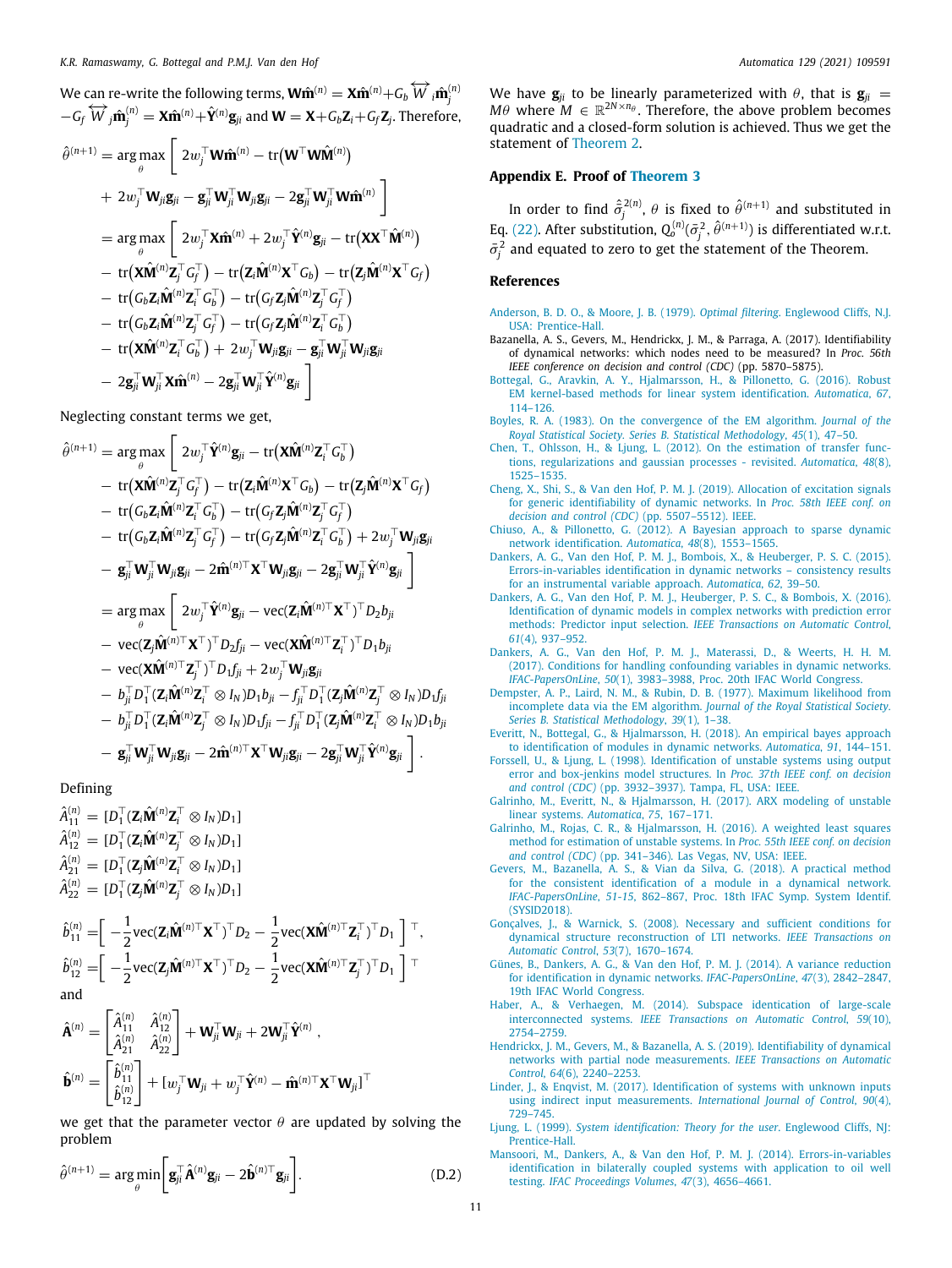We can re-write the following terms,  $\mathbf{W}\hat{\mathbf{m}}^{(n)} = \mathbf{X}\hat{\mathbf{m}}^{(n)} + G_b\stackrel{\leftarrow}{W}_i\hat{\mathbf{m}}^{(n)}_j$  $-G_f \overleftrightarrow{W}_j \hat{\mathbf{m}}_j^{(n)} = \mathbf{X} \hat{\mathbf{m}}^{(n)} + \hat{\mathbf{Y}}^{(n)} \mathbf{g}_{ji}$  and  $\mathbf{W} = \mathbf{X} + G_b \mathbf{Z}_i + G_f \mathbf{Z}_j$ . Therefore,

$$
\hat{\theta}^{(n+1)} = \arg \max_{\theta} \left[ 2w_j^{\top} \mathbf{W} \hat{\mathbf{m}}^{(n)} - \text{tr}(\mathbf{W}^{\top} \mathbf{W} \hat{\mathbf{M}}^{(n)}) \right. \\
\left. + 2w_j^{\top} \mathbf{W}_{ji} \mathbf{g}_{ji} - \mathbf{g}_{ji}^{\top} \mathbf{W}_{ji}^{\top} \mathbf{W}_{ji} \mathbf{g}_{ji} - 2 \mathbf{g}_{ji}^{\top} \mathbf{W}_{ji}^{\top} \mathbf{W} \hat{\mathbf{m}}^{(n)} \right] \\
= \arg \max_{\theta} \left[ 2w_j^{\top} \mathbf{X} \hat{\mathbf{m}}^{(n)} + 2w_j^{\top} \hat{\mathbf{Y}}^{(n)} \mathbf{g}_{ji} - \text{tr}(\mathbf{X} \mathbf{X}^{\top} \hat{\mathbf{M}}^{(n)}) \right. \\
\left. - \text{tr}(\mathbf{X} \hat{\mathbf{M}}^{(n)} \mathbf{Z}_{j}^{\top} \mathbf{G}_{j}^{\top}) - \text{tr}(\mathbf{Z}_{i} \hat{\mathbf{M}}^{(n)} \mathbf{X}^{\top} \mathbf{G}_{b}) - \text{tr}(\mathbf{Z}_{j} \hat{\mathbf{M}}^{(n)} \mathbf{X}^{\top} \mathbf{G}_{f}) \right. \\
\left. - \text{tr}(\mathbf{G}_{b} \mathbf{Z}_{i} \hat{\mathbf{M}}^{(n)} \mathbf{Z}_{i}^{\top} \mathbf{G}_{b}^{\top}) - \text{tr}(\mathbf{G}_{f} \mathbf{Z}_{j} \hat{\mathbf{M}}^{(n)} \mathbf{Z}_{i}^{\top} \mathbf{G}_{b}^{\top}) \right. \\
\left. - \text{tr}(\mathbf{G}_{b} \mathbf{Z}_{i} \hat{\mathbf{M}}^{(n)} \mathbf{Z}_{i}^{\top} \mathbf{G}_{f}^{\top}) - \text{tr}(\mathbf{G}_{f} \mathbf{Z}_{j} \hat{\mathbf{M}}^{(n)} \mathbf{Z}_{i}^{\top} \mathbf{G}_{b}^{\top}) \right. \\
\left. - \text{tr}(\mathbf{X} \hat{\mathbf{M}}^{(n)} \mathbf{Z}_{i}^{\top} \mathbf{G}_{b}^{\top}) + 2w_{j}^{\top
$$

Neglecting constant terms we get,

$$
\hat{\theta}^{(n+1)} = \arg \max_{\theta} \left[ 2w_j^{\top} \hat{\mathbf{Y}}^{(n)} \mathbf{g}_{ji} - \text{tr}(\mathbf{X}\hat{\mathbf{M}}^{(n)} \mathbf{Z}_{i}^{\top} G_{b}^{\top}) \right. \\
\left. - \text{tr}(\mathbf{X}\hat{\mathbf{M}}^{(n)} \mathbf{Z}_{j}^{\top} G_{f}^{\top}) - \text{tr}(\mathbf{Z}_{i} \hat{\mathbf{M}}^{(n)} \mathbf{X}^{\top} G_{b}) - \text{tr}(\mathbf{Z}_{j} \hat{\mathbf{M}}^{(n)} \mathbf{X}^{\top} G_{f}) \right. \\
\left. - \text{tr}(\mathbf{G}_{b} \mathbf{Z}_{i} \hat{\mathbf{M}}^{(n)} \mathbf{Z}_{j}^{\top} G_{b}^{\top}) - \text{tr}(\mathbf{G}_{f} \mathbf{Z}_{j} \hat{\mathbf{M}}^{(n)} \mathbf{Z}_{j}^{\top} G_{f}^{\top}) \right. \\
\left. - \text{tr}(\mathbf{G}_{b} \mathbf{Z}_{i} \hat{\mathbf{M}}^{(n)} \mathbf{Z}_{j}^{\top} G_{f}^{\top}) - \text{tr}(\mathbf{G}_{f} \mathbf{Z}_{j} \hat{\mathbf{M}}^{(n)} \mathbf{Z}_{i}^{\top} G_{b}^{\top}) + 2w_{j}^{\top} \mathbf{W}_{ji} \mathbf{g}_{ji} \right. \\
\left. - \mathbf{g}_{ji}^{\top} \mathbf{W}_{ji}^{\top} \mathbf{W}_{ji} \mathbf{g}_{ji} - 2 \hat{\mathbf{m}}^{(n)\top} \mathbf{X}^{\top} \mathbf{W}_{ji} \mathbf{g}_{ji} - 2 \mathbf{g}_{ji}^{\top} \mathbf{W}_{ji}^{\top} \hat{\mathbf{Y}}^{(n)} \mathbf{g}_{ji} \right] \\
= \arg \max_{\theta} \left[ 2w_{j}^{\top} \hat{\mathbf{Y}}^{(n)} \mathbf{g}_{ji} - \text{vec}(\mathbf{Z}_{i} \hat{\mathbf{M}}^{(n)\top} \mathbf{X}^{\top})^{\top} D_{2} b_{ji} \right. \\
\left. - \text{vec}(\mathbf{Z}_{j} \hat{\mathbf{M}}^{(n)\top} \mathbf{X}^{\top})
$$

Defining

 $\hat{A}_{11}^{(n)} = [D_1^\top (\mathbf{Z}_i \hat{\mathbf{M}}^{(n)} \mathbf{Z}_i^\top \otimes I_N) D_1]$  $\hat{A}_{12}^{(n)} = [D_1^\top (\mathbf{Z}_i \hat{\mathbf{M}}^{(n)} \mathbf{Z}_j^\top \otimes I_N) D_1]$  $\hat{A}_{21}^{(n)} = [D_1^\top(\mathbf{Z}_j\hat{\mathbf{M}}^{(n)}\mathbf{Z}_i^\top\otimes I_N)D_1]$  $\hat{A}_{22}^{(n)} = [D_1^\top (\mathbf{Z}_j \hat{\mathbf{M}}^{(n)} \mathbf{Z}_j^\top \otimes I_N) D_1]$ 

$$
\hat{b}_{11}^{(n)} = \left[ \begin{array}{c} -\frac{1}{2} \text{vec}(\mathbf{Z}_{i} \hat{\mathbf{M}}^{(n)\top} \mathbf{X}^{\top})^{\top} D_{2} - \frac{1}{2} \text{vec}(\mathbf{X} \hat{\mathbf{M}}^{(n)\top} \mathbf{Z}_{i}^{\top})^{\top} D_{1} \end{array} \right]^{\top},
$$
\n
$$
\hat{b}_{12}^{(n)} = \left[ \begin{array}{c} -\frac{1}{2} \text{vec}(\mathbf{Z}_{i} \hat{\mathbf{M}}^{(n)\top} \mathbf{X}^{\top})^{\top} D_{2} - \frac{1}{2} \text{vec}(\mathbf{X} \hat{\mathbf{M}}^{(n)\top} \mathbf{Z}_{j}^{\top})^{\top} D_{1} \end{array} \right]^{\top}
$$
\nand

$$
\hat{\mathbf{A}}^{(n)} = \begin{bmatrix} \hat{A}_{11}^{(n)} & \hat{A}_{12}^{(n)} \\ \hat{A}_{21}^{(n)} & \hat{A}_{22}^{(n)} \end{bmatrix} + \mathbf{W}_{ji}^{\top} \mathbf{W}_{ji} + 2 \mathbf{W}_{ji}^{\top} \hat{\mathbf{Y}}^{(n)} ,
$$

$$
\hat{\mathbf{b}}^{(n)} = \begin{bmatrix} \hat{b}_{11}^{(n)} \\ \hat{b}_{12}^{(n)} \end{bmatrix} + [\boldsymbol{w}_j^{\top} \mathbf{W}_{ji} + \boldsymbol{w}_j^{\top} \hat{\mathbf{Y}}^{(n)} - \hat{\mathbf{m}}^{(n)\top} \mathbf{X}^{\top} \mathbf{W}_{ji}]^{\top}
$$

we get that the parameter vector  $\theta$  are updated by solving the problem

$$
\hat{\theta}^{(n+1)} = \underset{\theta}{\arg\min} \bigg[ \mathbf{g}_{ji}^{\top} \hat{\mathbf{A}}^{(n)} \mathbf{g}_{ji} - 2 \hat{\mathbf{b}}^{(n)\top} \mathbf{g}_{ji} \bigg]. \tag{D.2}
$$

We have  $\mathbf{g}_{ii}$  to be linearly parameterized with  $\theta$ , that is  $\mathbf{g}_{ii}$  = *M* $\theta$  where  $M \in \mathbb{R}^{2N \times n_{\theta}}$ . Therefore, the above problem becomes quadratic and a closed-form solution is achieved. Thus we get the statement of [Theorem](#page-5-5) [2.](#page-5-5)

# **Appendix E. Proof of [Theorem](#page-5-2) [3](#page-5-2)**

In order to find  $\hat{\sigma}^{2(n)}_j$ ,  $\theta$  is fixed to  $\hat{\theta}^{(n+1)}$  and substituted in Eq. ([22](#page-4-7)). After substitution,  $Q_o^{(n)}(\bar{\sigma}_j^2, \hat{\theta}^{(n+1)})$  is differentiated w.r.t.  $\bar{\sigma}_j^2$  and equated to zero to get the statement of the Theorem.

# **References**

- <span id="page-10-17"></span>[Anderson, B. D. O., & Moore, J. B. \(1979\).](http://refhub.elsevier.com/S0005-1098(21)00111-4/sb1) *Optimal filtering*. Englewood Cliffs, N.J. [USA: Prentice-Hall.](http://refhub.elsevier.com/S0005-1098(21)00111-4/sb1)
- <span id="page-10-3"></span>Bazanella, A. S., Gevers, M., Hendrickx, J. M., & Parraga, A. (2017). Identifiability of dynamical networks: which nodes need to be measured? In *Proc. 56th IEEE conference on decision and control (CDC)* (pp. 5870–5875).
- <span id="page-10-18"></span>[Bottegal, G., Aravkin, A. Y., Hjalmarsson, H., & Pillonetto, G. \(2016\). Robust](http://refhub.elsevier.com/S0005-1098(21)00111-4/sb3) [EM kernel-based methods for linear system identification.](http://refhub.elsevier.com/S0005-1098(21)00111-4/sb3) *Automatica*, *67*, [114–126.](http://refhub.elsevier.com/S0005-1098(21)00111-4/sb3)
- <span id="page-10-16"></span>[Boyles, R. A. \(1983\). On the convergence of the EM algorithm.](http://refhub.elsevier.com/S0005-1098(21)00111-4/sb4) *Journal of the [Royal Statistical Society. Series B. Statistical Methodology](http://refhub.elsevier.com/S0005-1098(21)00111-4/sb4)*, *45*(1), 47–50.
- <span id="page-10-14"></span>[Chen, T., Ohlsson, H., & Ljung, L. \(2012\). On the estimation of transfer func](http://refhub.elsevier.com/S0005-1098(21)00111-4/sb5)[tions, regularizations and gaussian processes - revisited.](http://refhub.elsevier.com/S0005-1098(21)00111-4/sb5) *Automatica*, *48*(8), [1525–1535.](http://refhub.elsevier.com/S0005-1098(21)00111-4/sb5)
- <span id="page-10-4"></span>[Cheng, X., Shi, S., & Van den Hof, P. M. J. \(2019\). Allocation of excitation signals](http://refhub.elsevier.com/S0005-1098(21)00111-4/sb6) [for generic identifiability of dynamic networks. In](http://refhub.elsevier.com/S0005-1098(21)00111-4/sb6) *Proc. 58th IEEE conf. on [decision and control \(CDC\)](http://refhub.elsevier.com/S0005-1098(21)00111-4/sb6)* (pp. 5507–5512). IEEE.
- <span id="page-10-1"></span>[Chiuso, A., & Pillonetto, G. \(2012\). A Bayesian approach to sparse dynamic](http://refhub.elsevier.com/S0005-1098(21)00111-4/sb7) [network identification.](http://refhub.elsevier.com/S0005-1098(21)00111-4/sb7) *Automatica*, *48*(8), 1553–1565.
- <span id="page-10-7"></span>[Dankers, A. G., Van den Hof, P. M. J., Bombois, X., & Heuberger, P. S. C. \(2015\).](http://refhub.elsevier.com/S0005-1098(21)00111-4/sb8) [Errors-in-variables identification in dynamic networks – consistency results](http://refhub.elsevier.com/S0005-1098(21)00111-4/sb8) [for an instrumental variable approach.](http://refhub.elsevier.com/S0005-1098(21)00111-4/sb8) *Automatica*, *62*, 39–50.
- <span id="page-10-8"></span>[Dankers, A. G., Van den Hof, P. M. J., Heuberger, P. S. C., & Bombois, X. \(2016\).](http://refhub.elsevier.com/S0005-1098(21)00111-4/sb9) [Identification of dynamic models in complex networks with prediction error](http://refhub.elsevier.com/S0005-1098(21)00111-4/sb9) methods: Predictor input selection. *[IEEE Transactions on Automatic Control](http://refhub.elsevier.com/S0005-1098(21)00111-4/sb9)*, *61*[\(4\), 937–952.](http://refhub.elsevier.com/S0005-1098(21)00111-4/sb9)
- <span id="page-10-19"></span>[Dankers, A. G., Van den Hof, P. M. J., Materassi, D., & Weerts, H. H. M.](http://refhub.elsevier.com/S0005-1098(21)00111-4/sb10) [\(2017\). Conditions for handling confounding variables in dynamic networks.](http://refhub.elsevier.com/S0005-1098(21)00111-4/sb10) *IFAC-PapersOnLine*, *50*[\(1\), 3983–3988, Proc. 20th IFAC World Congress.](http://refhub.elsevier.com/S0005-1098(21)00111-4/sb10)
- <span id="page-10-15"></span>[Dempster, A. P., Laird, N. M., & Rubin, D. B. \(1977\). Maximum likelihood from](http://refhub.elsevier.com/S0005-1098(21)00111-4/sb11) [incomplete data via the EM algorithm.](http://refhub.elsevier.com/S0005-1098(21)00111-4/sb11) *Journal of the Royal Statistical Society. [Series B. Statistical Methodology](http://refhub.elsevier.com/S0005-1098(21)00111-4/sb11)*, *39*(1), 1–38.
- <span id="page-10-9"></span>[Everitt, N., Bottegal, G., & Hjalmarsson, H. \(2018\). An empirical bayes approach](http://refhub.elsevier.com/S0005-1098(21)00111-4/sb12) [to identification of modules in dynamic networks.](http://refhub.elsevier.com/S0005-1098(21)00111-4/sb12) *Automatica*, *91*, 144–151.
- <span id="page-10-22"></span>[Forssell, U., & Ljung, L. \(1998\). Identification of unstable systems using output](http://refhub.elsevier.com/S0005-1098(21)00111-4/sb13) [error and box-jenkins model structures. In](http://refhub.elsevier.com/S0005-1098(21)00111-4/sb13) *Proc. 37th IEEE conf. on decision and control (CDC)* [\(pp. 3932–3937\). Tampa, FL, USA: IEEE.](http://refhub.elsevier.com/S0005-1098(21)00111-4/sb13)
- <span id="page-10-20"></span>[Galrinho, M., Everitt, N., & Hjalmarsson, H. \(2017\). ARX modeling of unstable](http://refhub.elsevier.com/S0005-1098(21)00111-4/sb14) [linear systems.](http://refhub.elsevier.com/S0005-1098(21)00111-4/sb14) *Automatica*, *75*, 167–171.
- <span id="page-10-21"></span>[Galrinho, M., Rojas, C. R., & Hjalmarsson, H. \(2016\). A weighted least squares](http://refhub.elsevier.com/S0005-1098(21)00111-4/sb15) [method for estimation of unstable systems. In](http://refhub.elsevier.com/S0005-1098(21)00111-4/sb15) *Proc. 55th IEEE conf. on decision and control (CDC)* [\(pp. 341–346\). Las Vegas, NV, USA: IEEE.](http://refhub.elsevier.com/S0005-1098(21)00111-4/sb15)
- <span id="page-10-10"></span>[Gevers, M., Bazanella, A. S., & Vian da Silva, G. \(2018\). A practical method](http://refhub.elsevier.com/S0005-1098(21)00111-4/sb16) [for the consistent identification of a module in a dynamical network.](http://refhub.elsevier.com/S0005-1098(21)00111-4/sb16) *IFAC-PapersOnLine*, *51-15*[, 862–867, Proc. 18th IFAC Symp. System Identif.](http://refhub.elsevier.com/S0005-1098(21)00111-4/sb16) [\(SYSID2018\).](http://refhub.elsevier.com/S0005-1098(21)00111-4/sb16)
- <span id="page-10-5"></span>[Gonçalves, J., & Warnick, S. \(2008\). Necessary and sufficient conditions for](http://refhub.elsevier.com/S0005-1098(21)00111-4/sb17) [dynamical structure reconstruction of LTI networks.](http://refhub.elsevier.com/S0005-1098(21)00111-4/sb17) *IEEE Transactions on [Automatic Control](http://refhub.elsevier.com/S0005-1098(21)00111-4/sb17)*, *53*(7), 1670–1674.
- <span id="page-10-13"></span>[Günes, B., Dankers, A. G., & Van den Hof, P. M. J. \(2014\). A variance reduction](http://refhub.elsevier.com/S0005-1098(21)00111-4/sb18) [for identification in dynamic networks.](http://refhub.elsevier.com/S0005-1098(21)00111-4/sb18) *IFAC-PapersOnLine*, *47*(3), 2842–2847, [19th IFAC World Congress.](http://refhub.elsevier.com/S0005-1098(21)00111-4/sb18)
- <span id="page-10-2"></span>[Haber, A., & Verhaegen, M. \(2014\). Subspace identication of large-scale](http://refhub.elsevier.com/S0005-1098(21)00111-4/sb19) interconnected systems. *[IEEE Transactions on Automatic Control](http://refhub.elsevier.com/S0005-1098(21)00111-4/sb19)*, *59*(10), [2754–2759.](http://refhub.elsevier.com/S0005-1098(21)00111-4/sb19)
- <span id="page-10-6"></span>[Hendrickx, J. M., Gevers, M., & Bazanella, A. S. \(2019\). Identifiability of dynamical](http://refhub.elsevier.com/S0005-1098(21)00111-4/sb20) [networks with partial node measurements.](http://refhub.elsevier.com/S0005-1098(21)00111-4/sb20) *IEEE Transactions on Automatic Control*, *64*[\(6\), 2240–2253.](http://refhub.elsevier.com/S0005-1098(21)00111-4/sb20)
- <span id="page-10-11"></span>[Linder, J., & Enqvist, M. \(2017\). Identification of systems with unknown inputs](http://refhub.elsevier.com/S0005-1098(21)00111-4/sb21) [using indirect input measurements.](http://refhub.elsevier.com/S0005-1098(21)00111-4/sb21) *International Journal of Control*, *90*(4), [729–745.](http://refhub.elsevier.com/S0005-1098(21)00111-4/sb21)
- <span id="page-10-12"></span>Ljung, L. (1999). *[System identification: Theory for the user](http://refhub.elsevier.com/S0005-1098(21)00111-4/sb22)*. Englewood Cliffs, NJ: [Prentice-Hall.](http://refhub.elsevier.com/S0005-1098(21)00111-4/sb22)
- <span id="page-10-0"></span>[Mansoori, M., Dankers, A., & Van den Hof, P. M. J. \(2014\). Errors-in-variables](http://refhub.elsevier.com/S0005-1098(21)00111-4/sb23) [identification in bilaterally coupled systems with application to oil well](http://refhub.elsevier.com/S0005-1098(21)00111-4/sb23) testing. *[IFAC Proceedings Volumes](http://refhub.elsevier.com/S0005-1098(21)00111-4/sb23)*, *47*(3), 4656–4661.